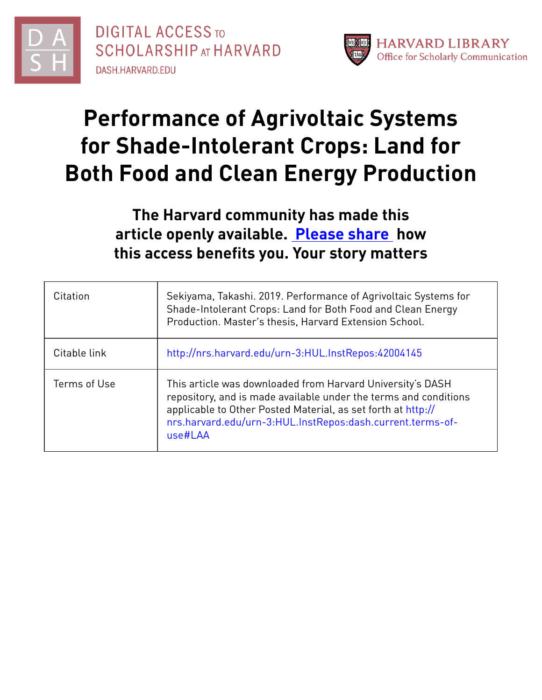



# **Performance of Agrivoltaic Systems for Shade-Intolerant Crops: Land for Both Food and Clean Energy Production**

# **The Harvard community has made this article openly available. [Please](http://osc.hul.harvard.edu/dash/open-access-feedback?handle=&title=Performance%20of%20Agrivoltaic%20Systems%20for%20Shade-Intolerant%20Crops:%20Land%20for%20Both%20Food%20and%20Clean%20Energy%20Production&community=1/14557738&collection=1/14557739&owningCollection1/14557739&harvardAuthors=3ce2b9035206f9c29819c228041eb6d3&departmentSustainability) share how this access benefits you. Your story matters**

| Citation     | Sekiyama, Takashi. 2019. Performance of Agrivoltaic Systems for<br>Shade-Intolerant Crops: Land for Both Food and Clean Energy<br>Production. Master's thesis, Harvard Extension School.                                                                                |
|--------------|-------------------------------------------------------------------------------------------------------------------------------------------------------------------------------------------------------------------------------------------------------------------------|
| Citable link | http://nrs.harvard.edu/urn-3:HUL.InstRepos:42004145                                                                                                                                                                                                                     |
| Terms of Use | This article was downloaded from Harvard University's DASH<br>repository, and is made available under the terms and conditions<br>applicable to Other Posted Material, as set forth at http://<br>nrs.harvard.edu/urn-3:HUL.InstRepos:dash.current.terms-of-<br>use#LAA |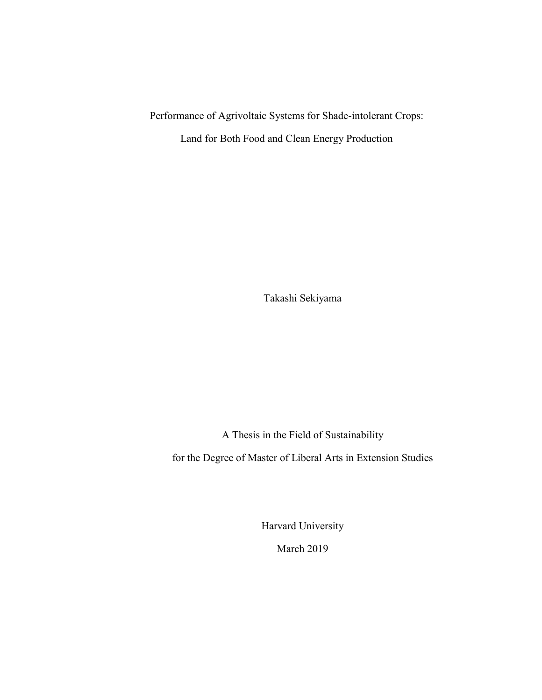Performance of Agrivoltaic Systems for Shade-intolerant Crops:

Land for Both Food and Clean Energy Production

Takashi Sekiyama

A Thesis in the Field of Sustainability

for the Degree of Master of Liberal Arts in Extension Studies

Harvard University

March 2019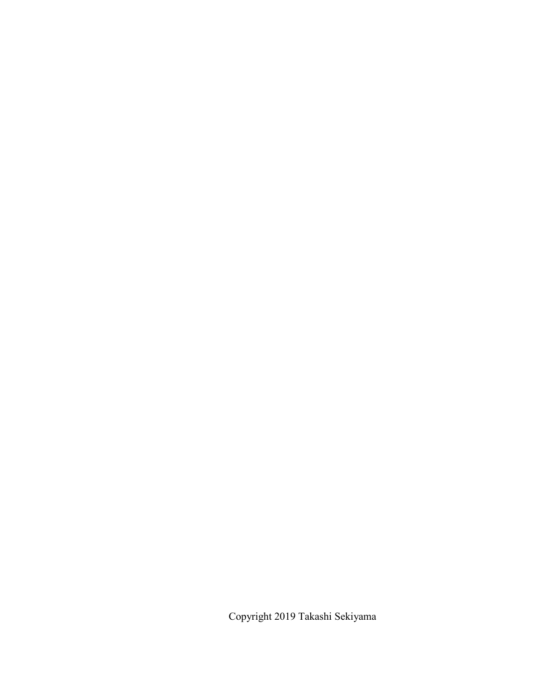Copyright 2019 Takashi Sekiyama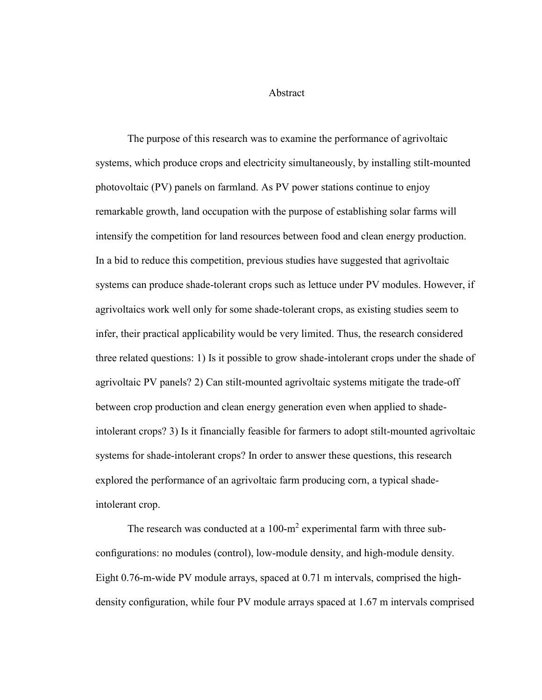Abstract

The purpose of this research was to examine the performance of agrivoltaic systems, which produce crops and electricity simultaneously, by installing stilt-mounted photovoltaic (PV) panels on farmland. As PV power stations continue to enjoy remarkable growth, land occupation with the purpose of establishing solar farms will intensify the competition for land resources between food and clean energy production. In a bid to reduce this competition, previous studies have suggested that agrivoltaic systems can produce shade-tolerant crops such as lettuce under PV modules. However, if agrivoltaics work well only for some shade-tolerant crops, as existing studies seem to infer, their practical applicability would be very limited. Thus, the research considered three related questions: 1) Is it possible to grow shade-intolerant crops under the shade of agrivoltaic PV panels? 2) Can stilt-mounted agrivoltaic systems mitigate the trade-off between crop production and clean energy generation even when applied to shadeintolerant crops? 3) Is it financially feasible for farmers to adopt stilt-mounted agrivoltaic systems for shade-intolerant crops? In order to answer these questions, this research explored the performance of an agrivoltaic farm producing corn, a typical shadeintolerant crop.

The research was conducted at a  $100 \text{-} m^2$  experimental farm with three subconfigurations: no modules (control), low-module density, and high-module density. Eight 0.76-m-wide PV module arrays, spaced at 0.71 m intervals, comprised the highdensity configuration, while four PV module arrays spaced at 1.67 m intervals comprised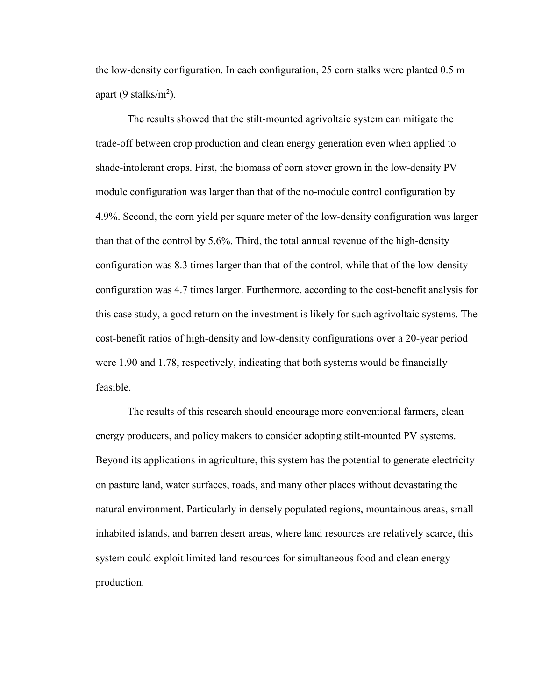the low-density configuration. In each configuration, 25 corn stalks were planted 0.5 m apart (9 stalks/m<sup>2</sup>).

The results showed that the stilt-mounted agrivoltaic system can mitigate the trade-off between crop production and clean energy generation even when applied to shade-intolerant crops. First, the biomass of corn stover grown in the low-density PV module configuration was larger than that of the no-module control configuration by 4.9%. Second, the corn yield per square meter of the low-density configuration was larger than that of the control by 5.6%. Third, the total annual revenue of the high-density configuration was 8.3 times larger than that of the control, while that of the low-density configuration was 4.7 times larger. Furthermore, according to the cost-benefit analysis for this case study, a good return on the investment is likely for such agrivoltaic systems. The cost-benefit ratios of high-density and low-density configurations over a 20-year period were 1.90 and 1.78, respectively, indicating that both systems would be financially feasible.

The results of this research should encourage more conventional farmers, clean energy producers, and policy makers to consider adopting stilt-mounted PV systems. Beyond its applications in agriculture, this system has the potential to generate electricity on pasture land, water surfaces, roads, and many other places without devastating the natural environment. Particularly in densely populated regions, mountainous areas, small inhabited islands, and barren desert areas, where land resources are relatively scarce, this system could exploit limited land resources for simultaneous food and clean energy production.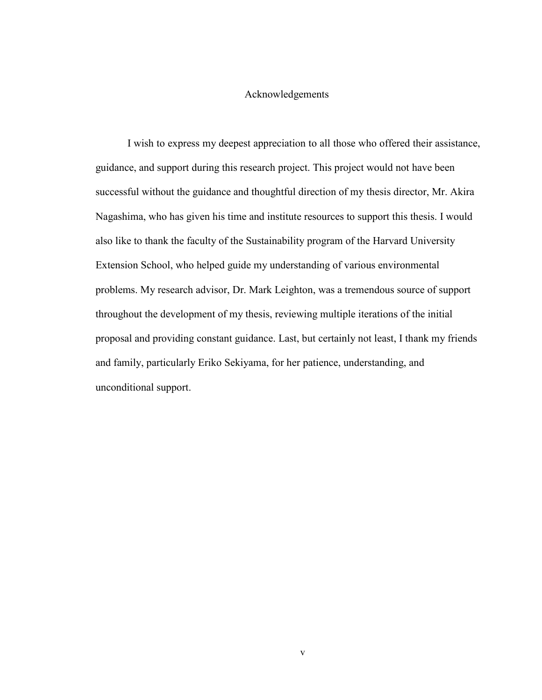#### Acknowledgements

I wish to express my deepest appreciation to all those who offered their assistance, guidance, and support during this research project. This project would not have been successful without the guidance and thoughtful direction of my thesis director, Mr. Akira Nagashima, who has given his time and institute resources to support this thesis. I would also like to thank the faculty of the Sustainability program of the Harvard University Extension School, who helped guide my understanding of various environmental problems. My research advisor, Dr. Mark Leighton, was a tremendous source of support throughout the development of my thesis, reviewing multiple iterations of the initial proposal and providing constant guidance. Last, but certainly not least, I thank my friends and family, particularly Eriko Sekiyama, for her patience, understanding, and unconditional support.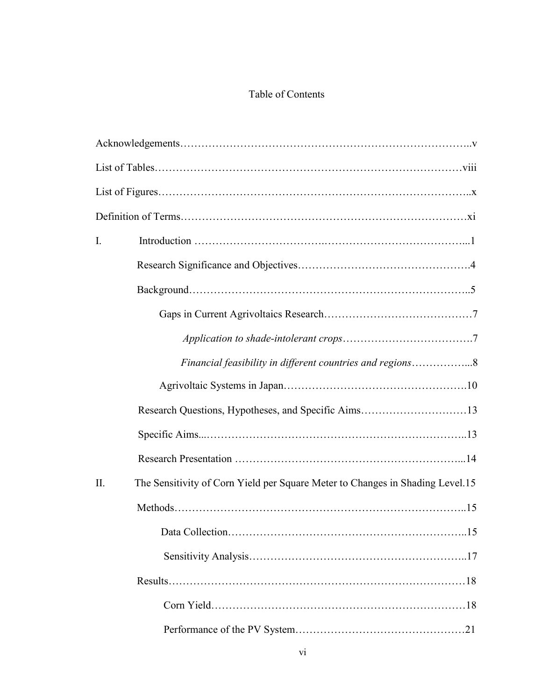# Table of Contents

| I.                                                                                   |
|--------------------------------------------------------------------------------------|
|                                                                                      |
|                                                                                      |
|                                                                                      |
|                                                                                      |
| Financial feasibility in different countries and regions8                            |
|                                                                                      |
|                                                                                      |
|                                                                                      |
|                                                                                      |
| The Sensitivity of Corn Yield per Square Meter to Changes in Shading Level.15<br>II. |
|                                                                                      |
|                                                                                      |
|                                                                                      |
|                                                                                      |
|                                                                                      |
|                                                                                      |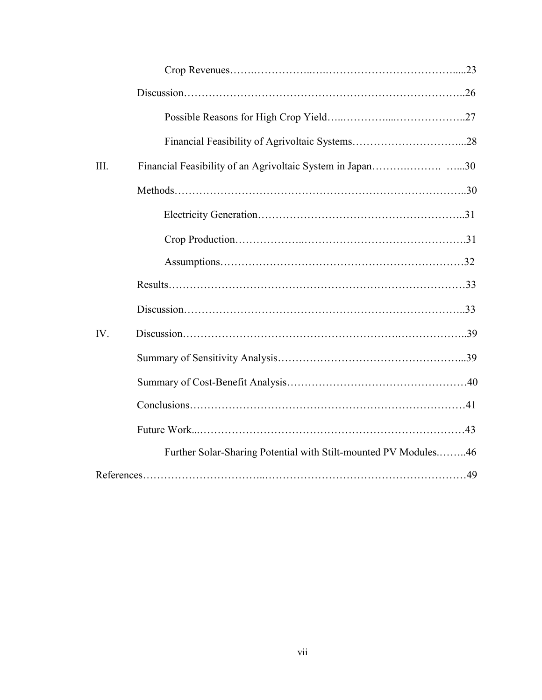| III. |                                                                 |  |
|------|-----------------------------------------------------------------|--|
|      |                                                                 |  |
|      |                                                                 |  |
|      |                                                                 |  |
|      |                                                                 |  |
|      |                                                                 |  |
|      |                                                                 |  |
| IV.  |                                                                 |  |
|      |                                                                 |  |
|      |                                                                 |  |
|      |                                                                 |  |
|      |                                                                 |  |
|      | Further Solar-Sharing Potential with Stilt-mounted PV Modules46 |  |
|      |                                                                 |  |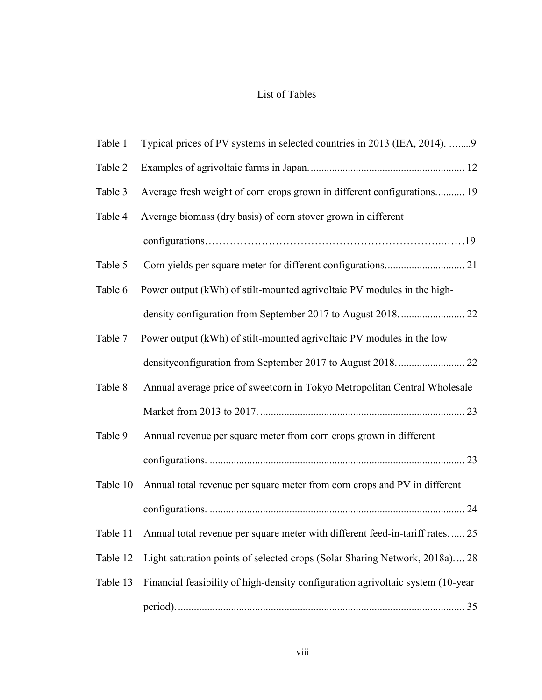## List of Tables

| Table 1  | Typical prices of PV systems in selected countries in 2013 (IEA, 2014). 9             |
|----------|---------------------------------------------------------------------------------------|
| Table 2  |                                                                                       |
| Table 3  | Average fresh weight of corn crops grown in different configurations 19               |
| Table 4  | Average biomass (dry basis) of corn stover grown in different                         |
|          | $configurations \dots 19$                                                             |
| Table 5  |                                                                                       |
| Table 6  | Power output (kWh) of stilt-mounted agrivoltaic PV modules in the high-               |
|          |                                                                                       |
| Table 7  | Power output (kWh) of stilt-mounted agrivoltaic PV modules in the low                 |
|          |                                                                                       |
| Table 8  | Annual average price of sweetcorn in Tokyo Metropolitan Central Wholesale             |
|          |                                                                                       |
| Table 9  | Annual revenue per square meter from corn crops grown in different                    |
|          |                                                                                       |
| Table 10 | Annual total revenue per square meter from corn crops and PV in different             |
|          |                                                                                       |
|          | Table 11 Annual total revenue per square meter with different feed-in-tariff rates 25 |
| Table 12 | Light saturation points of selected crops (Solar Sharing Network, 2018a) 28           |
| Table 13 | Financial feasibility of high-density configuration agrivoltaic system (10-year       |
|          |                                                                                       |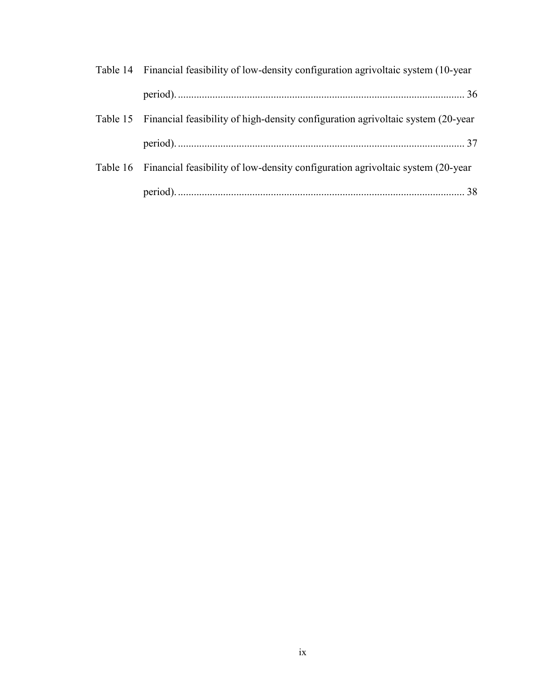| Table 14 Financial feasibility of low-density configuration agrivoltaic system (10-year  |  |
|------------------------------------------------------------------------------------------|--|
|                                                                                          |  |
| Table 15 Financial feasibility of high-density configuration agrivoltaic system (20-year |  |
|                                                                                          |  |
| Table 16 Financial feasibility of low-density configuration agrivoltaic system (20-year  |  |
|                                                                                          |  |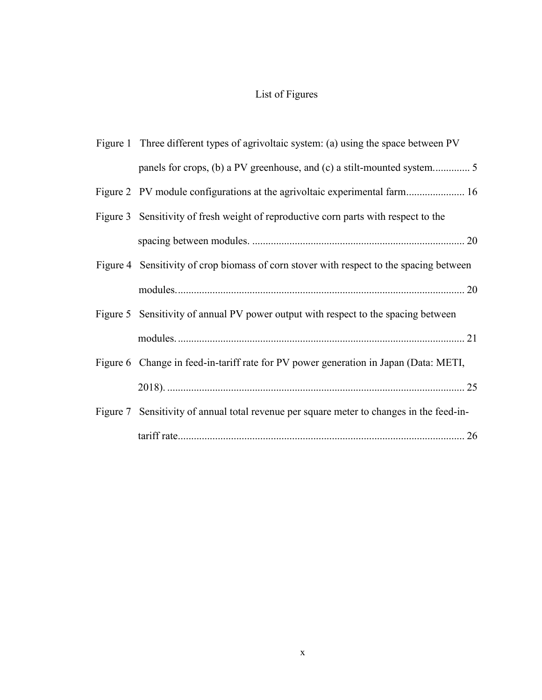# List of Figures

| Figure 1 Three different types of agrivoltaic system: (a) using the space between PV     |
|------------------------------------------------------------------------------------------|
|                                                                                          |
|                                                                                          |
| Figure 3 Sensitivity of fresh weight of reproductive corn parts with respect to the      |
|                                                                                          |
| Figure 4 Sensitivity of crop biomass of corn stover with respect to the spacing between  |
|                                                                                          |
| Figure 5 Sensitivity of annual PV power output with respect to the spacing between       |
|                                                                                          |
| Figure 6 Change in feed-in-tariff rate for PV power generation in Japan (Data: METI,     |
|                                                                                          |
| Figure 7 Sensitivity of annual total revenue per square meter to changes in the feed-in- |
|                                                                                          |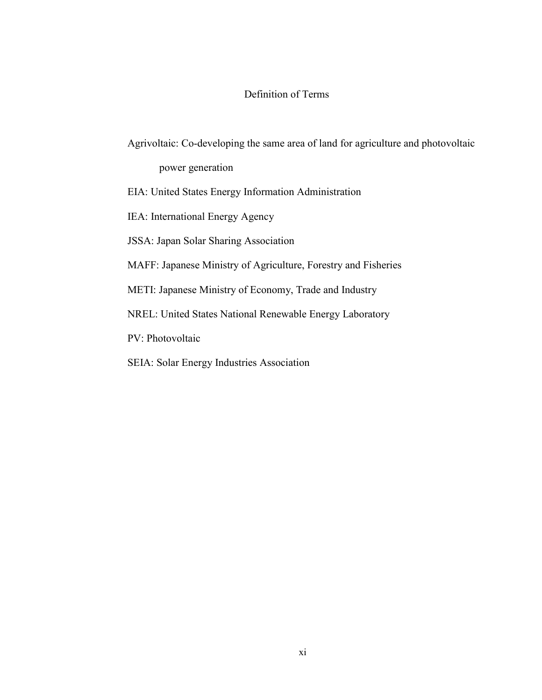### Definition of Terms

Agrivoltaic: Co-developing the same area of land for agriculture and photovoltaic

power generation

EIA: United States Energy Information Administration

IEA: International Energy Agency

JSSA: Japan Solar Sharing Association

MAFF: Japanese Ministry of Agriculture, Forestry and Fisheries

METI: Japanese Ministry of Economy, Trade and Industry

NREL: United States National Renewable Energy Laboratory

PV: Photovoltaic

SEIA: Solar Energy Industries Association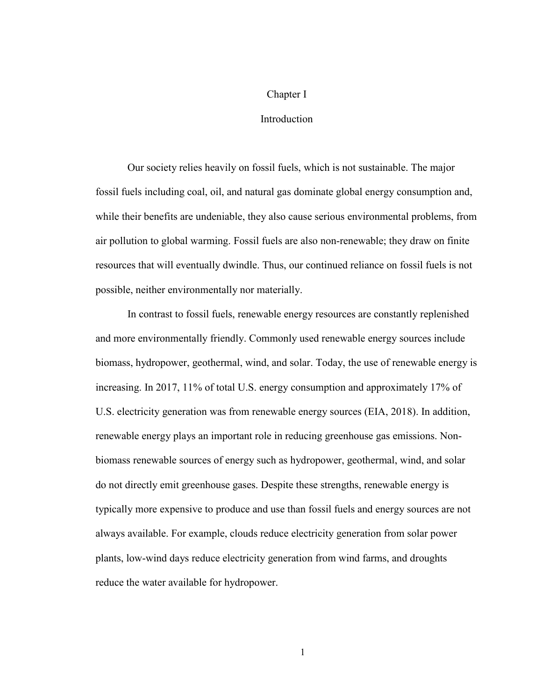#### Chapter I

#### Introduction

Our society relies heavily on fossil fuels, which is not sustainable. The major fossil fuels including coal, oil, and natural gas dominate global energy consumption and, while their benefits are undeniable, they also cause serious environmental problems, from air pollution to global warming. Fossil fuels are also non-renewable; they draw on finite resources that will eventually dwindle. Thus, our continued reliance on fossil fuels is not possible, neither environmentally nor materially.

In contrast to fossil fuels, renewable energy resources are constantly replenished and more environmentally friendly. Commonly used renewable energy sources include biomass, hydropower, geothermal, wind, and solar. Today, the use of renewable energy is increasing. In 2017, 11% of total U.S. energy consumption and approximately 17% of U.S. electricity generation was from renewable energy sources (EIA, 2018). In addition, renewable energy plays an important role in reducing greenhouse gas emissions. Nonbiomass renewable sources of energy such as hydropower, geothermal, wind, and solar do not directly emit greenhouse gases. Despite these strengths, renewable energy is typically more expensive to produce and use than fossil fuels and energy sources are not always available. For example, clouds reduce electricity generation from solar power plants, low-wind days reduce electricity generation from wind farms, and droughts reduce the water available for hydropower.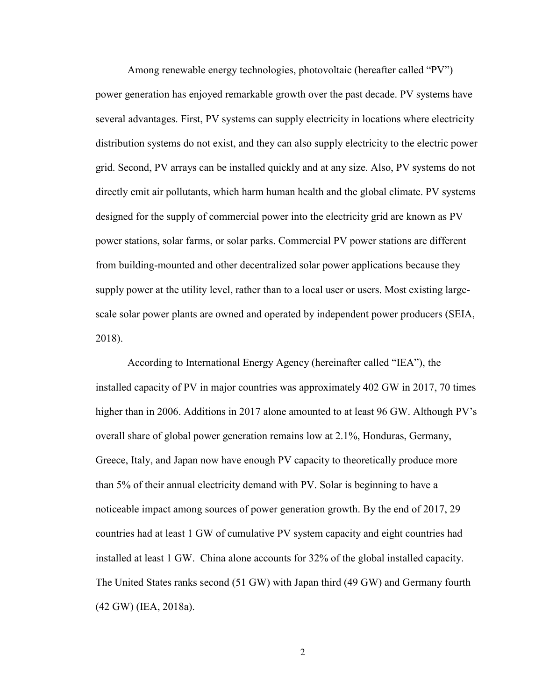Among renewable energy technologies, photovoltaic (hereafter called "PV") power generation has enjoyed remarkable growth over the past decade. PV systems have several advantages. First, PV systems can supply electricity in locations where electricity distribution systems do not exist, and they can also supply electricity to the electric power grid. Second, PV arrays can be installed quickly and at any size. Also, PV systems do not directly emit air pollutants, which harm human health and the global climate. PV systems designed for the supply of commercial power into the electricity grid are known as PV power stations, solar farms, or solar parks. Commercial PV power stations are different from building-mounted and other decentralized solar power applications because they supply power at the utility level, rather than to a local user or users. Most existing largescale solar power plants are owned and operated by independent power producers (SEIA, 2018).

According to International Energy Agency (hereinafter called "IEA"), the installed capacity of PV in major countries was approximately 402 GW in 2017, 70 times higher than in 2006. Additions in 2017 alone amounted to at least 96 GW. Although PV's overall share of global power generation remains low at 2.1%, Honduras, Germany, Greece, Italy, and Japan now have enough PV capacity to theoretically produce more than 5% of their annual electricity demand with PV. Solar is beginning to have a noticeable impact among sources of power generation growth. By the end of 2017, 29 countries had at least 1 GW of cumulative PV system capacity and eight countries had installed at least 1 GW. China alone accounts for 32% of the global installed capacity. The United States ranks second (51 GW) with Japan third (49 GW) and Germany fourth (42 GW) (IEA, 2018a).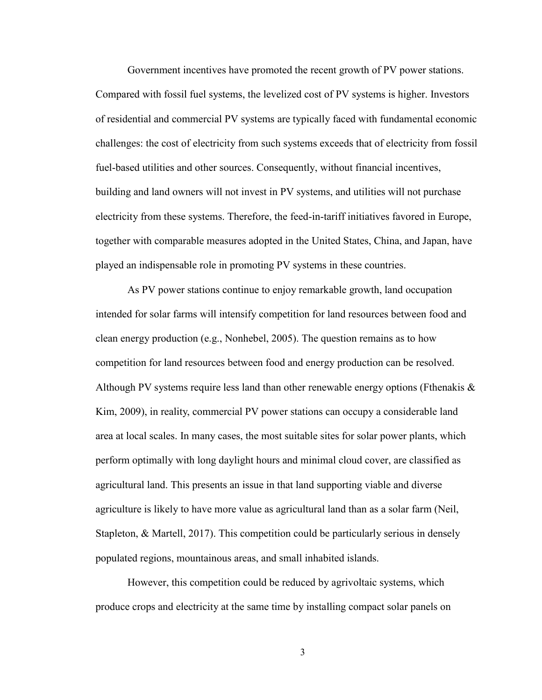Government incentives have promoted the recent growth of PV power stations. Compared with fossil fuel systems, the levelized cost of PV systems is higher. Investors of residential and commercial PV systems are typically faced with fundamental economic challenges: the cost of electricity from such systems exceeds that of electricity from fossil fuel-based utilities and other sources. Consequently, without financial incentives, building and land owners will not invest in PV systems, and utilities will not purchase electricity from these systems. Therefore, the feed-in-tariff initiatives favored in Europe, together with comparable measures adopted in the United States, China, and Japan, have played an indispensable role in promoting PV systems in these countries.

As PV power stations continue to enjoy remarkable growth, land occupation intended for solar farms will intensify competition for land resources between food and clean energy production (e.g., Nonhebel, 2005). The question remains as to how competition for land resources between food and energy production can be resolved. Although PV systems require less land than other renewable energy options (Fthenakis  $\&$ Kim, 2009), in reality, commercial PV power stations can occupy a considerable land area at local scales. In many cases, the most suitable sites for solar power plants, which perform optimally with long daylight hours and minimal cloud cover, are classified as agricultural land. This presents an issue in that land supporting viable and diverse agriculture is likely to have more value as agricultural land than as a solar farm (Neil, Stapleton, & Martell, 2017). This competition could be particularly serious in densely populated regions, mountainous areas, and small inhabited islands.

However, this competition could be reduced by agrivoltaic systems, which produce crops and electricity at the same time by installing compact solar panels on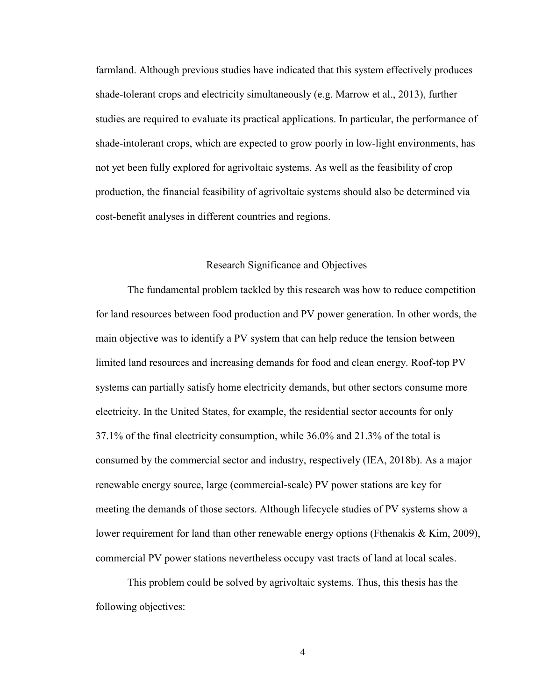farmland. Although previous studies have indicated that this system effectively produces shade-tolerant crops and electricity simultaneously (e.g. Marrow et al., 2013), further studies are required to evaluate its practical applications. In particular, the performance of shade-intolerant crops, which are expected to grow poorly in low-light environments, has not yet been fully explored for agrivoltaic systems. As well as the feasibility of crop production, the financial feasibility of agrivoltaic systems should also be determined via cost-benefit analyses in different countries and regions.

#### Research Significance and Objectives

The fundamental problem tackled by this research was how to reduce competition for land resources between food production and PV power generation. In other words, the main objective was to identify a PV system that can help reduce the tension between limited land resources and increasing demands for food and clean energy. Roof-top PV systems can partially satisfy home electricity demands, but other sectors consume more electricity. In the United States, for example, the residential sector accounts for only 37.1% of the final electricity consumption, while 36.0% and 21.3% of the total is consumed by the commercial sector and industry, respectively (IEA, 2018b). As a major renewable energy source, large (commercial-scale) PV power stations are key for meeting the demands of those sectors. Although lifecycle studies of PV systems show a lower requirement for land than other renewable energy options (Fthenakis & Kim, 2009), commercial PV power stations nevertheless occupy vast tracts of land at local scales.

This problem could be solved by agrivoltaic systems. Thus, this thesis has the following objectives: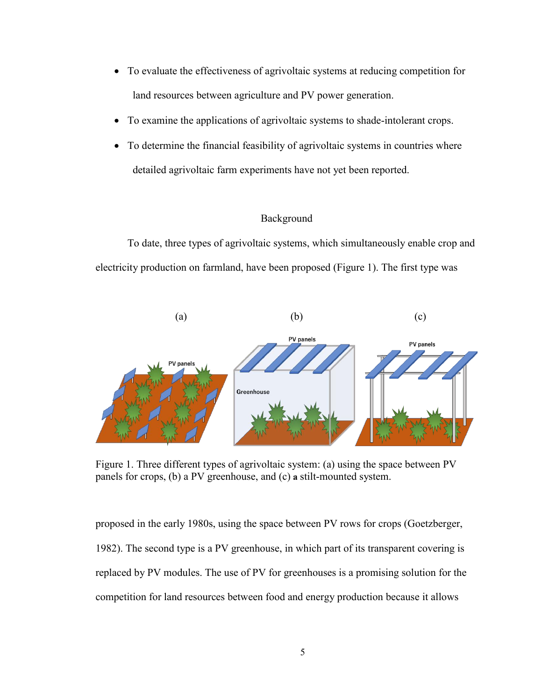- To evaluate the effectiveness of agrivoltaic systems at reducing competition for land resources between agriculture and PV power generation.
- To examine the applications of agrivoltaic systems to shade-intolerant crops.
- To determine the financial feasibility of agrivoltaic systems in countries where detailed agrivoltaic farm experiments have not yet been reported.

#### Background

To date, three types of agrivoltaic systems, which simultaneously enable crop and electricity production on farmland, have been proposed (Figure 1). The first type was



<span id="page-16-0"></span>Figure 1. Three different types of agrivoltaic system: (a) using the space between PV panels for crops, (b) a PV greenhouse, and (c) **a** stilt-mounted system.

proposed in the early 1980s, using the space between PV rows for crops (Goetzberger, 1982). The second type is a PV greenhouse, in which part of its transparent covering is replaced by PV modules. The use of PV for greenhouses is a promising solution for the competition for land resources between food and energy production because it allows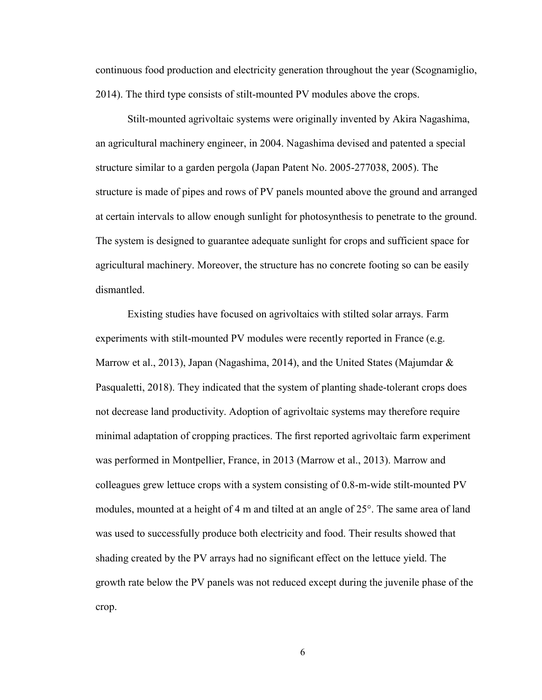continuous food production and electricity generation throughout the year (Scognamiglio, 2014). The third type consists of stilt-mounted PV modules above the crops.

Stilt-mounted agrivoltaic systems were originally invented by Akira Nagashima, an agricultural machinery engineer, in 2004. Nagashima devised and patented a special structure similar to a garden pergola (Japan Patent No. 2005-277038, 2005). The structure is made of pipes and rows of PV panels mounted above the ground and arranged at certain intervals to allow enough sunlight for photosynthesis to penetrate to the ground. The system is designed to guarantee adequate sunlight for crops and sufficient space for agricultural machinery. Moreover, the structure has no concrete footing so can be easily dismantled.

Existing studies have focused on agrivoltaics with stilted solar arrays. Farm experiments with stilt-mounted PV modules were recently reported in France (e.g. Marrow et al., 2013), Japan (Nagashima, 2014), and the United States (Majumdar & Pasqualetti, 2018). They indicated that the system of planting shade-tolerant crops does not decrease land productivity. Adoption of agrivoltaic systems may therefore require minimal adaptation of cropping practices. The first reported agrivoltaic farm experiment was performed in Montpellier, France, in 2013 (Marrow et al., 2013). Marrow and colleagues grew lettuce crops with a system consisting of 0.8-m-wide stilt-mounted PV modules, mounted at a height of 4 m and tilted at an angle of 25°. The same area of land was used to successfully produce both electricity and food. Their results showed that shading created by the PV arrays had no significant effect on the lettuce yield. The growth rate below the PV panels was not reduced except during the juvenile phase of the crop.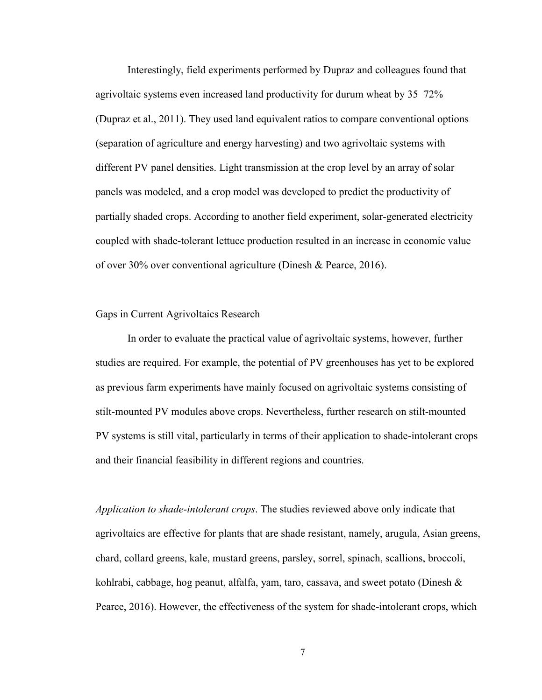Interestingly, field experiments performed by Dupraz and colleagues found that agrivoltaic systems even increased land productivity for durum wheat by 35–72% (Dupraz et al., 2011). They used land equivalent ratios to compare conventional options (separation of agriculture and energy harvesting) and two agrivoltaic systems with different PV panel densities. Light transmission at the crop level by an array of solar panels was modeled, and a crop model was developed to predict the productivity of partially shaded crops. According to another field experiment, solar-generated electricity coupled with shade-tolerant lettuce production resulted in an increase in economic value of over 30% over conventional agriculture (Dinesh & Pearce, 2016).

#### Gaps in Current Agrivoltaics Research

In order to evaluate the practical value of agrivoltaic systems, however, further studies are required. For example, the potential of PV greenhouses has yet to be explored as previous farm experiments have mainly focused on agrivoltaic systems consisting of stilt-mounted PV modules above crops. Nevertheless, further research on stilt-mounted PV systems is still vital, particularly in terms of their application to shade-intolerant crops and their financial feasibility in different regions and countries.

*Application to shade-intolerant crops*. The studies reviewed above only indicate that agrivoltaics are effective for plants that are shade resistant, namely, arugula, Asian greens, chard, collard greens, kale, mustard greens, parsley, sorrel, spinach, scallions, broccoli, kohlrabi, cabbage, hog peanut, alfalfa, yam, taro, cassava, and sweet potato (Dinesh & Pearce, 2016). However, the effectiveness of the system for shade-intolerant crops, which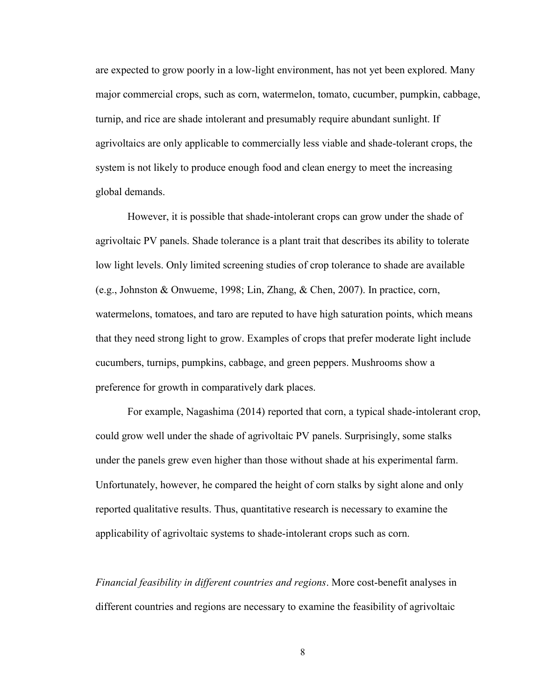are expected to grow poorly in a low-light environment, has not yet been explored. Many major commercial crops, such as corn, watermelon, tomato, cucumber, pumpkin, cabbage, turnip, and rice are shade intolerant and presumably require abundant sunlight. If agrivoltaics are only applicable to commercially less viable and shade-tolerant crops, the system is not likely to produce enough food and clean energy to meet the increasing global demands.

However, it is possible that shade-intolerant crops can grow under the shade of agrivoltaic PV panels. Shade tolerance is a plant trait that describes its ability to tolerate low light levels. Only limited screening studies of crop tolerance to shade are available (e.g., Johnston & Onwueme, 1998; Lin, Zhang, & Chen, 2007). In practice, corn, watermelons, tomatoes, and taro are reputed to have high saturation points, which means that they need strong light to grow. Examples of crops that prefer moderate light include cucumbers, turnips, pumpkins, cabbage, and green peppers. Mushrooms show a preference for growth in comparatively dark places.

For example, Nagashima (2014) reported that corn, a typical shade-intolerant crop, could grow well under the shade of agrivoltaic PV panels. Surprisingly, some stalks under the panels grew even higher than those without shade at his experimental farm. Unfortunately, however, he compared the height of corn stalks by sight alone and only reported qualitative results. Thus, quantitative research is necessary to examine the applicability of agrivoltaic systems to shade-intolerant crops such as corn.

*Financial feasibility in different countries and regions*. More cost-benefit analyses in different countries and regions are necessary to examine the feasibility of agrivoltaic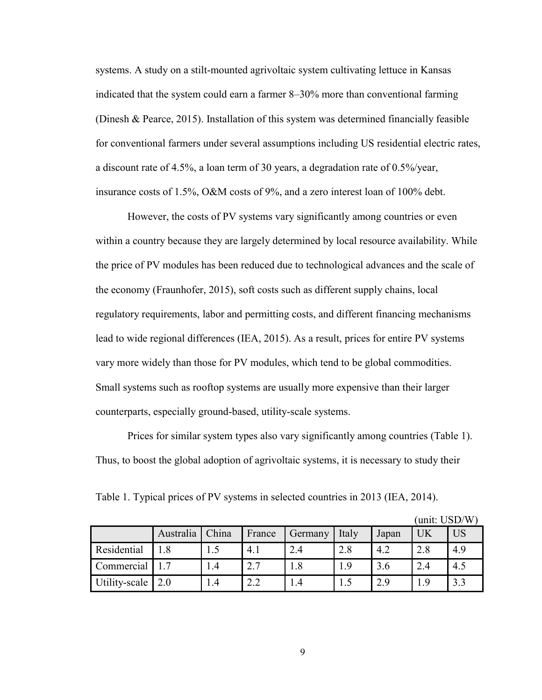systems. A study on a stilt-mounted agrivoltaic system cultivating lettuce in Kansas indicated that the system could earn a farmer 8–30% more than conventional farming (Dinesh & Pearce, 2015). Installation of this system was determined financially feasible for conventional farmers under several assumptions including US residential electric rates, a discount rate of 4.5%, a loan term of 30 years, a degradation rate of 0.5%/year, insurance costs of 1.5%, O&M costs of 9%, and a zero interest loan of 100% debt.

However, the costs of PV systems vary significantly among countries or even within a country because they are largely determined by local resource availability. While the price of PV modules has been reduced due to technological advances and the scale of the economy (Fraunhofer, 2015), soft costs such as different supply chains, local regulatory requirements, labor and permitting costs, and different financing mechanisms lead to wide regional differences (IEA, 2015). As a result, prices for entire PV systems vary more widely than those for PV modules, which tend to be global commodities. Small systems such as rooftop systems are usually more expensive than their larger counterparts, especially ground-based, utility-scale systems.

Prices for similar system types also vary significantly among countries (Table 1). Thus, to boost the global adoption of agrivoltaic systems, it is necessary to study their

<span id="page-20-0"></span>Table 1. Typical prices of PV systems in selected countries in 2013 (IEA, 2014).

|               |           |       |        |         |       |       | (unit: USD/W |           |
|---------------|-----------|-------|--------|---------|-------|-------|--------------|-----------|
|               | Australia | China | France | Germany | Italy | Japan | UK           | <b>US</b> |
| Residential   | 1.8       | 1.5   | 4.1    | 2.4     | 2.8   | 4.2   | 2.8          | 4.9       |
| Commercial    |           | 1.4   | 2.7    | 1.8     | 1.9   | 3.6   | 2.4          | 4.5       |
| Utility-scale | 2.0       | 1.4   | 2.2    | 1.4     | 1.5   | 2.9   | 1.9          | 3.3       |

 $(1.10D/W)$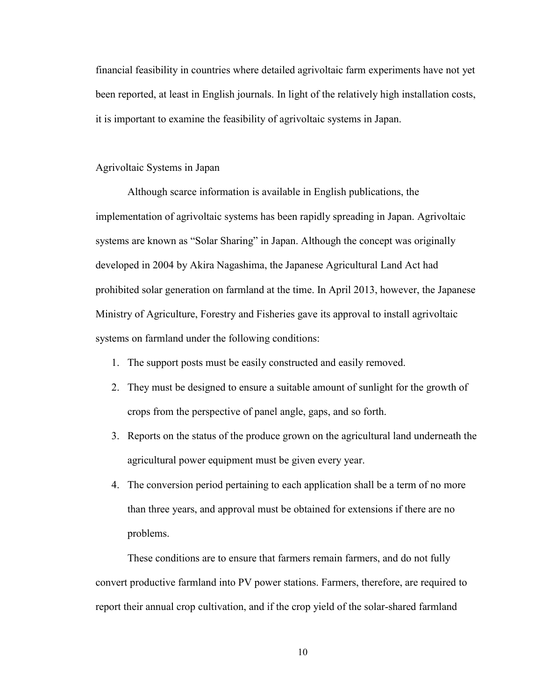financial feasibility in countries where detailed agrivoltaic farm experiments have not yet been reported, at least in English journals. In light of the relatively high installation costs, it is important to examine the feasibility of agrivoltaic systems in Japan.

#### Agrivoltaic Systems in Japan

Although scarce information is available in English publications, the implementation of agrivoltaic systems has been rapidly spreading in Japan. Agrivoltaic systems are known as "Solar Sharing" in Japan. Although the concept was originally developed in 2004 by Akira Nagashima, the Japanese Agricultural Land Act had prohibited solar generation on farmland at the time. In April 2013, however, the Japanese Ministry of Agriculture, Forestry and Fisheries gave its approval to install agrivoltaic systems on farmland under the following conditions:

- 1. The support posts must be easily constructed and easily removed.
- 2. They must be designed to ensure a suitable amount of sunlight for the growth of crops from the perspective of panel angle, gaps, and so forth.
- 3. Reports on the status of the produce grown on the agricultural land underneath the agricultural power equipment must be given every year.
- 4. The conversion period pertaining to each application shall be a term of no more than three years, and approval must be obtained for extensions if there are no problems.

These conditions are to ensure that farmers remain farmers, and do not fully convert productive farmland into PV power stations. Farmers, therefore, are required to report their annual crop cultivation, and if the crop yield of the solar-shared farmland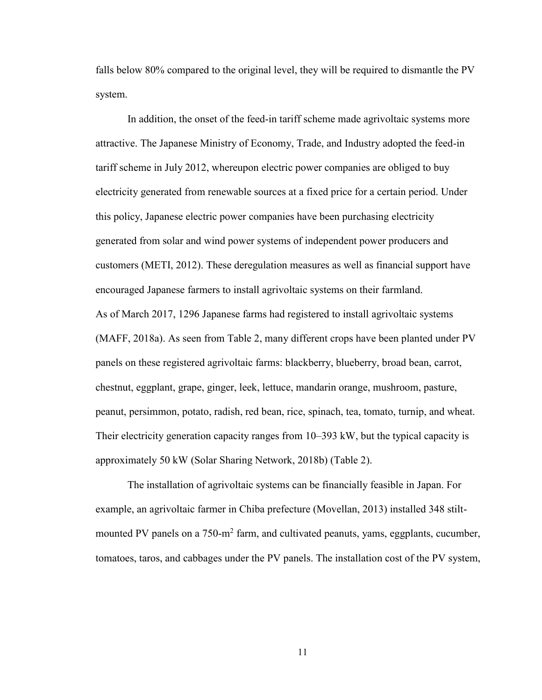falls below 80% compared to the original level, they will be required to dismantle the PV system.

In addition, the onset of the feed-in tariff scheme made agrivoltaic systems more attractive. The Japanese Ministry of Economy, Trade, and Industry adopted the feed-in tariff scheme in July 2012, whereupon electric power companies are obliged to buy electricity generated from renewable sources at a fixed price for a certain period. Under this policy, Japanese electric power companies have been purchasing electricity generated from solar and wind power systems of independent power producers and customers (METI, 2012). These deregulation measures as well as financial support have encouraged Japanese farmers to install agrivoltaic systems on their farmland. As of March 2017, 1296 Japanese farms had registered to install agrivoltaic systems (MAFF, 2018a). As seen from Table 2, many different crops have been planted under PV panels on these registered agrivoltaic farms: blackberry, blueberry, broad bean, carrot, chestnut, eggplant, grape, ginger, leek, lettuce, mandarin orange, mushroom, pasture, peanut, persimmon, potato, radish, red bean, rice, spinach, tea, tomato, turnip, and wheat. Their electricity generation capacity ranges from 10–393 kW, but the typical capacity is approximately 50 kW (Solar Sharing Network, 2018b) (Table 2).

The installation of agrivoltaic systems can be financially feasible in Japan. For example, an agrivoltaic farmer in Chiba prefecture (Movellan, 2013) installed 348 stiltmounted PV panels on a 750-m<sup>2</sup> farm, and cultivated peanuts, yams, eggplants, cucumber, tomatoes, taros, and cabbages under the PV panels. The installation cost of the PV system,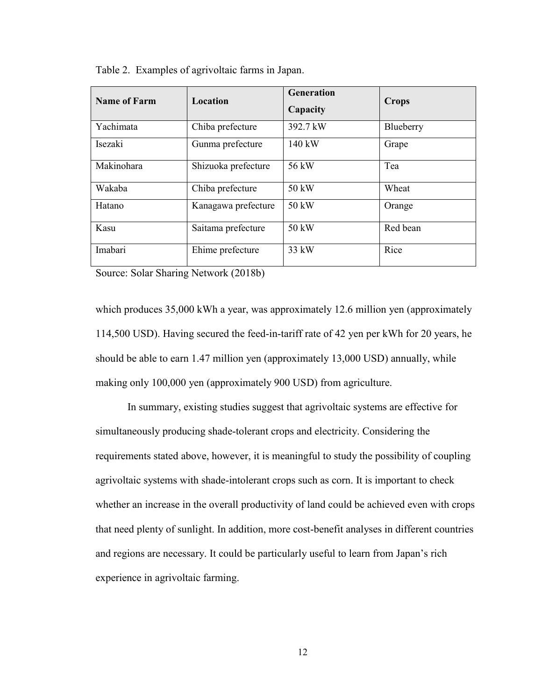<span id="page-23-0"></span>

|  |  |  |  | Table 2. Examples of agrivoltaic farms in Japan. |
|--|--|--|--|--------------------------------------------------|
|--|--|--|--|--------------------------------------------------|

| <b>Name of Farm</b> | Location            | Generation<br>Capacity | <b>Crops</b> |
|---------------------|---------------------|------------------------|--------------|
| Yachimata           | Chiba prefecture    | 392.7 kW               | Blueberry    |
| Isezaki             | Gunma prefecture    | 140 kW                 | Grape        |
| Makinohara          | Shizuoka prefecture | 56 kW                  | Tea          |
| Wakaba              | Chiba prefecture    | 50 kW                  | Wheat        |
| Hatano              | Kanagawa prefecture | 50 kW                  | Orange       |
| Kasu                | Saitama prefecture  | 50 kW                  | Red bean     |
| Imabari             | Ehime prefecture    | 33 kW                  | Rice         |

Source: Solar Sharing Network (2018b)

which produces 35,000 kWh a year, was approximately 12.6 million yen (approximately 114,500 USD). Having secured the feed-in-tariff rate of 42 yen per kWh for 20 years, he should be able to earn 1.47 million yen (approximately 13,000 USD) annually, while making only 100,000 yen (approximately 900 USD) from agriculture.

In summary, existing studies suggest that agrivoltaic systems are effective for simultaneously producing shade-tolerant crops and electricity. Considering the requirements stated above, however, it is meaningful to study the possibility of coupling agrivoltaic systems with shade-intolerant crops such as corn. It is important to check whether an increase in the overall productivity of land could be achieved even with crops that need plenty of sunlight. In addition, more cost-benefit analyses in different countries and regions are necessary. It could be particularly useful to learn from Japan's rich experience in agrivoltaic farming.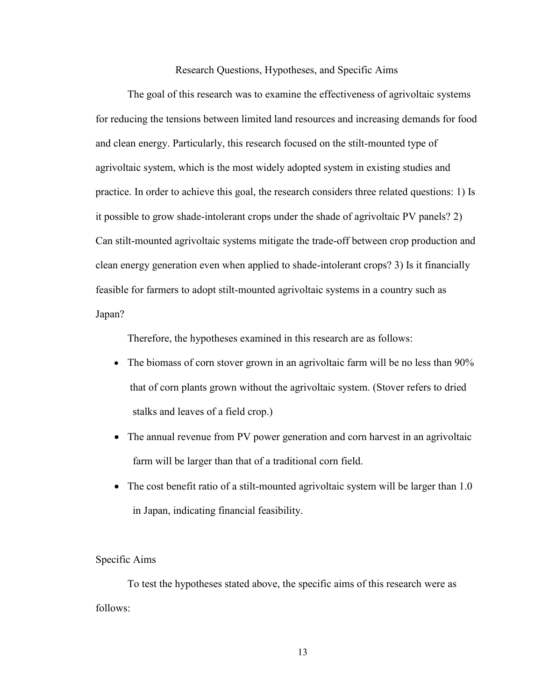Research Questions, Hypotheses, and Specific Aims

The goal of this research was to examine the effectiveness of agrivoltaic systems for reducing the tensions between limited land resources and increasing demands for food and clean energy. Particularly, this research focused on the stilt-mounted type of agrivoltaic system, which is the most widely adopted system in existing studies and practice. In order to achieve this goal, the research considers three related questions: 1) Is it possible to grow shade-intolerant crops under the shade of agrivoltaic PV panels? 2) Can stilt-mounted agrivoltaic systems mitigate the trade-off between crop production and clean energy generation even when applied to shade-intolerant crops? 3) Is it financially feasible for farmers to adopt stilt-mounted agrivoltaic systems in a country such as Japan?

Therefore, the hypotheses examined in this research are as follows:

- The biomass of corn stover grown in an agrivoltaic farm will be no less than 90% that of corn plants grown without the agrivoltaic system. (Stover refers to dried stalks and leaves of a field crop.)
- The annual revenue from PV power generation and corn harvest in an agrivoltaic farm will be larger than that of a traditional corn field.
- The cost benefit ratio of a stilt-mounted agrivoltaic system will be larger than 1.0 in Japan, indicating financial feasibility.

#### Specific Aims

To test the hypotheses stated above, the specific aims of this research were as follows: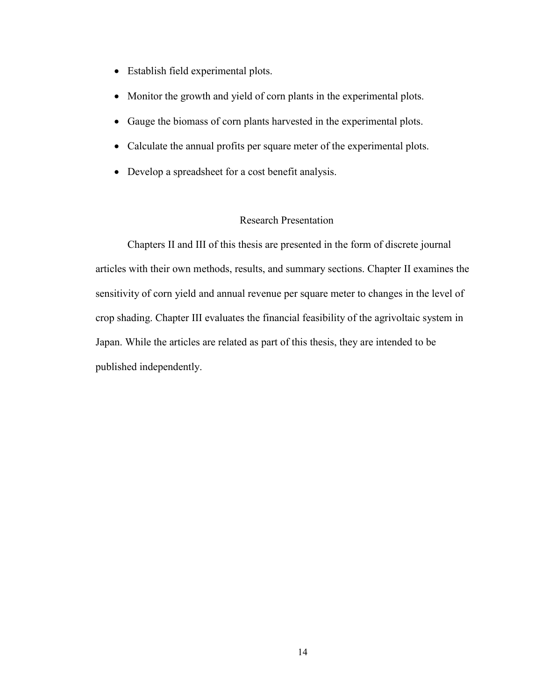- Establish field experimental plots.
- Monitor the growth and yield of corn plants in the experimental plots.
- Gauge the biomass of corn plants harvested in the experimental plots.
- Calculate the annual profits per square meter of the experimental plots.
- Develop a spreadsheet for a cost benefit analysis.

#### Research Presentation

Chapters II and III of this thesis are presented in the form of discrete journal articles with their own methods, results, and summary sections. Chapter II examines the sensitivity of corn yield and annual revenue per square meter to changes in the level of crop shading. Chapter III evaluates the financial feasibility of the agrivoltaic system in Japan. While the articles are related as part of this thesis, they are intended to be published independently.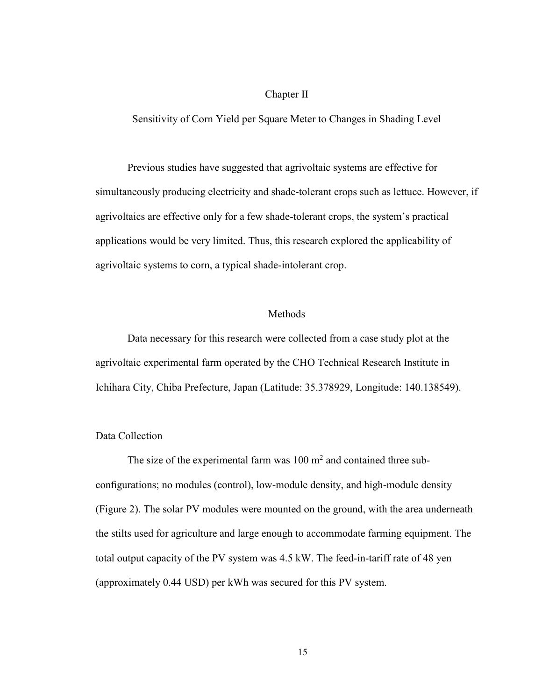#### Chapter II

#### Sensitivity of Corn Yield per Square Meter to Changes in Shading Level

Previous studies have suggested that agrivoltaic systems are effective for simultaneously producing electricity and shade-tolerant crops such as lettuce. However, if agrivoltaics are effective only for a few shade-tolerant crops, the system's practical applications would be very limited. Thus, this research explored the applicability of agrivoltaic systems to corn, a typical shade-intolerant crop.

#### Methods

Data necessary for this research were collected from a case study plot at the agrivoltaic experimental farm operated by the CHO Technical Research Institute in Ichihara City, Chiba Prefecture, Japan (Latitude: 35.378929, Longitude: 140.138549).

#### Data Collection

The size of the experimental farm was  $100 \text{ m}^2$  and contained three subconfigurations; no modules (control), low-module density, and high-module density (Figure 2). The solar PV modules were mounted on the ground, with the area underneath the stilts used for agriculture and large enough to accommodate farming equipment. The total output capacity of the PV system was 4.5 kW. The feed-in-tariff rate of 48 yen (approximately 0.44 USD) per kWh was secured for this PV system.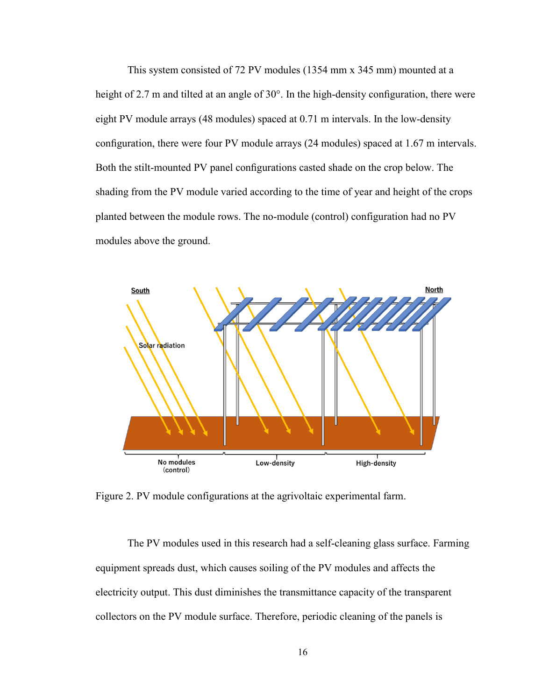This system consisted of 72 PV modules (1354 mm x 345 mm) mounted at a height of 2.7 m and tilted at an angle of 30°. In the high-density configuration, there were eight PV module arrays (48 modules) spaced at 0.71 m intervals. In the low-density configuration, there were four PV module arrays (24 modules) spaced at 1.67 m intervals. Both the stilt-mounted PV panel configurations casted shade on the crop below. The shading from the PV module varied according to the time of year and height of the crops planted between the module rows. The no-module (control) configuration had no PV modules above the ground.



<span id="page-27-0"></span>Figure 2. PV module configurations at the agrivoltaic experimental farm.

The PV modules used in this research had a self-cleaning glass surface. Farming equipment spreads dust, which causes soiling of the PV modules and affects the electricity output. This dust diminishes the transmittance capacity of the transparent collectors on the PV module surface. Therefore, periodic cleaning of the panels is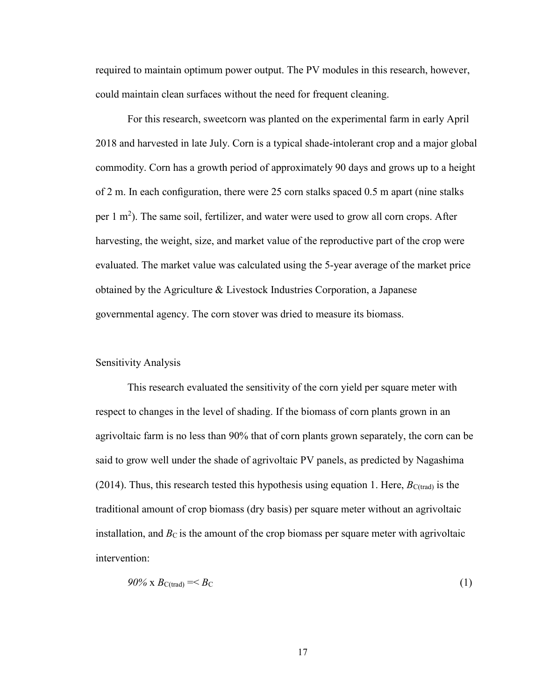required to maintain optimum power output. The PV modules in this research, however, could maintain clean surfaces without the need for frequent cleaning.

For this research, sweetcorn was planted on the experimental farm in early April 2018 and harvested in late July. Corn is a typical shade-intolerant crop and a major global commodity. Corn has a growth period of approximately 90 days and grows up to a height of 2 m. In each configuration, there were 25 corn stalks spaced 0.5 m apart (nine stalks per  $1 \text{ m}^2$ ). The same soil, fertilizer, and water were used to grow all corn crops. After harvesting, the weight, size, and market value of the reproductive part of the crop were evaluated. The market value was calculated using the 5-year average of the market price obtained by the Agriculture & Livestock Industries Corporation, a Japanese governmental agency. The corn stover was dried to measure its biomass.

#### Sensitivity Analysis

This research evaluated the sensitivity of the corn yield per square meter with respect to changes in the level of shading. If the biomass of corn plants grown in an agrivoltaic farm is no less than 90% that of corn plants grown separately, the corn can be said to grow well under the shade of agrivoltaic PV panels, as predicted by Nagashima (2014). Thus, this research tested this hypothesis using equation 1. Here,  $B_{C(trad)}$  is the traditional amount of crop biomass (dry basis) per square meter without an agrivoltaic installation, and  $B<sub>C</sub>$  is the amount of the crop biomass per square meter with agrivoltaic intervention:

$$
90\% \times B_{\text{C}(\text{trad})} =
$$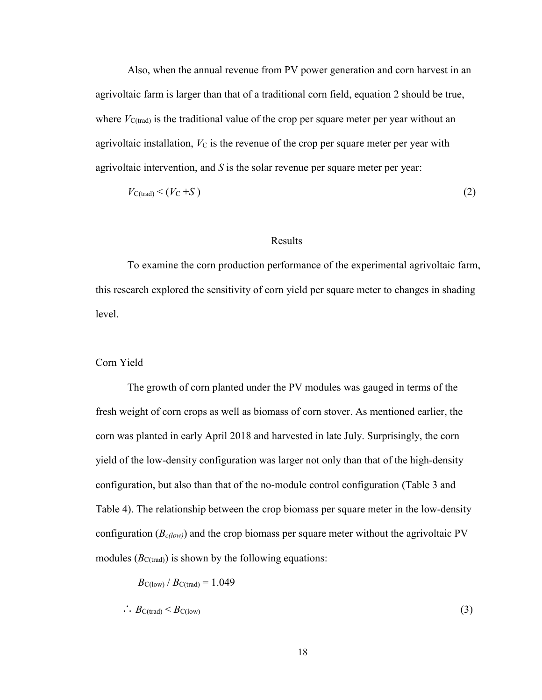Also, when the annual revenue from PV power generation and corn harvest in an agrivoltaic farm is larger than that of a traditional corn field, equation 2 should be true, where  $V_{\text{C-trad}}$  is the traditional value of the crop per square meter per year without an agrivoltaic installation,  $V_{\rm C}$  is the revenue of the crop per square meter per year with agrivoltaic intervention, and *S* is the solar revenue per square meter per year:

$$
V_{\text{C(traind}} < (V_{\text{C}} + S) \tag{2}
$$

#### Results

To examine the corn production performance of the experimental agrivoltaic farm, this research explored the sensitivity of corn yield per square meter to changes in shading level.

#### Corn Yield

The growth of corn planted under the PV modules was gauged in terms of the fresh weight of corn crops as well as biomass of corn stover. As mentioned earlier, the corn was planted in early April 2018 and harvested in late July. Surprisingly, the corn yield of the low-density configuration was larger not only than that of the high-density configuration, but also than that of the no-module control configuration (Table 3 and Table 4). The relationship between the crop biomass per square meter in the low-density configuration  $(B_{c(low)})$  and the crop biomass per square meter without the agrivoltaic PV modules  $(B_{C(trad)})$  is shown by the following equations:

$$
B_{\text{C}(low)} / B_{\text{C}(trad)} = 1.049
$$
  

$$
\therefore B_{\text{C}(trad)} < B_{\text{C}(low)}
$$
 (3)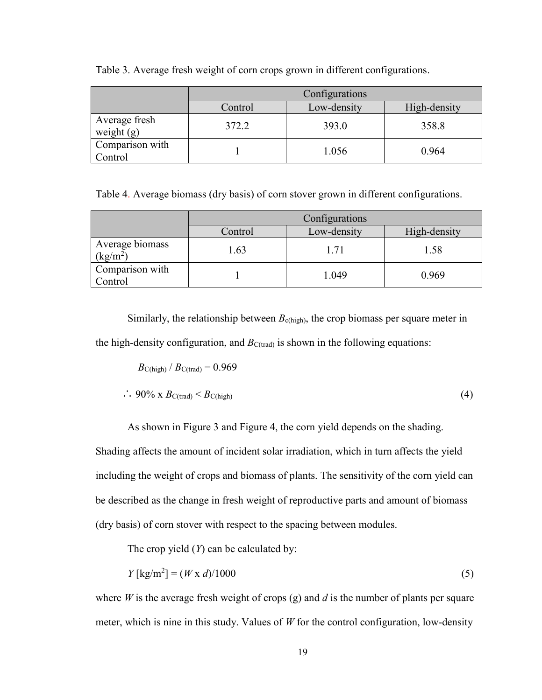|                               | Configurations<br>Low-density<br>High-density<br>Control |       |       |  |  |
|-------------------------------|----------------------------------------------------------|-------|-------|--|--|
|                               |                                                          |       |       |  |  |
| Average fresh<br>weight $(g)$ | 372.2                                                    | 393.0 | 358.8 |  |  |
| Comparison with<br>Control    |                                                          | 1.056 | 0.964 |  |  |

<span id="page-30-0"></span>Table 3. Average fresh weight of corn crops grown in different configurations.

<span id="page-30-1"></span>Table 4. Average biomass (dry basis) of corn stover grown in different configurations.

|                               | Configurations<br>Low-density<br>High-density<br>Control |       |       |  |  |
|-------------------------------|----------------------------------------------------------|-------|-------|--|--|
|                               |                                                          |       |       |  |  |
| Average biomass<br>$(kg/m^2)$ | l.63                                                     | 1.71  | 1.58  |  |  |
| Comparison with<br>Control    |                                                          | 1.049 | 0.969 |  |  |

Similarly, the relationship between  $B_{c(high)}$ , the crop biomass per square meter in the high-density configuration, and  $B_{C(trad)}$  is shown in the following equations:

$$
B_{\text{C(high)}} / B_{\text{C(train)}} = 0.969
$$
  
 
$$
\therefore 90\% \text{ x } B_{\text{C(train)}} < B_{\text{C(high)}}
$$
 (4)

As shown in Figure 3 and Figure 4, the corn yield depends on the shading.

Shading affects the amount of incident solar irradiation, which in turn affects the yield including the weight of crops and biomass of plants. The sensitivity of the corn yield can be described as the change in fresh weight of reproductive parts and amount of biomass (dry basis) of corn stover with respect to the spacing between modules.

The crop yield (*Y*) can be calculated by:

$$
Y \left[ \text{kg/m}^2 \right] = (W \times d) / 1000 \tag{5}
$$

where *W* is the average fresh weight of crops (g) and *d* is the number of plants per square meter, which is nine in this study. Values of *W* for the control configuration, low-density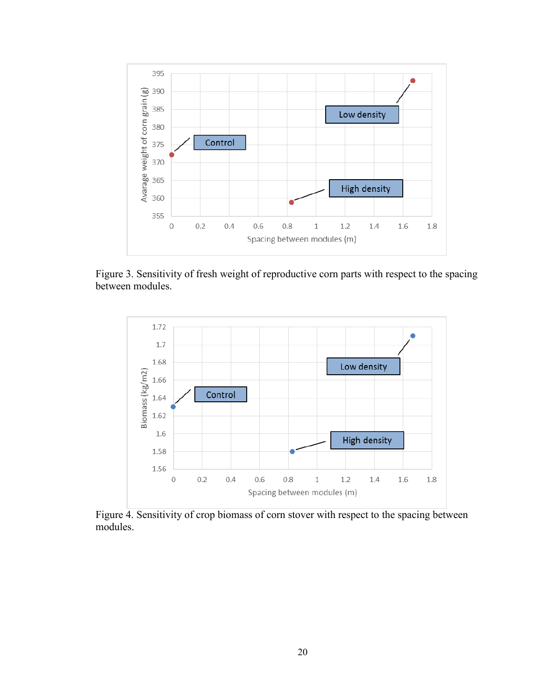

<span id="page-31-0"></span>Figure 3. Sensitivity of fresh weight of reproductive corn parts with respect to the spacing between modules.



<span id="page-31-1"></span>Figure 4. Sensitivity of crop biomass of corn stover with respect to the spacing between modules.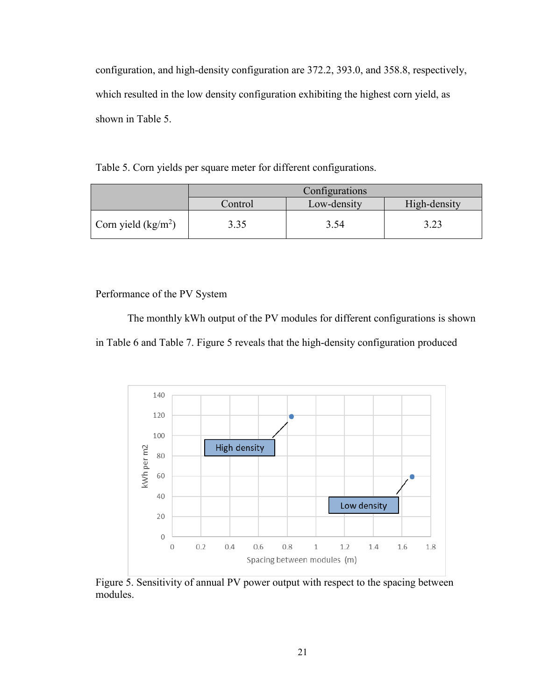configuration, and high-density configuration are 372.2, 393.0, and 358.8, respectively, which resulted in the low density configuration exhibiting the highest corn yield, as shown in Table 5.

<span id="page-32-0"></span>Table 5. Corn yields per square meter for different configurations.

|                      | Configurations                         |      |      |  |
|----------------------|----------------------------------------|------|------|--|
|                      | Low-density<br>High-density<br>Control |      |      |  |
| Corn yield $(kg/m2)$ | 3.35                                   | 3.54 | 3.23 |  |

Performance of the PV System

The monthly kWh output of the PV modules for different configurations is shown in Table 6 and Table 7. Figure 5 reveals that the high-density configuration produced



<span id="page-32-1"></span>Figure 5. Sensitivity of annual PV power output with respect to the spacing between modules.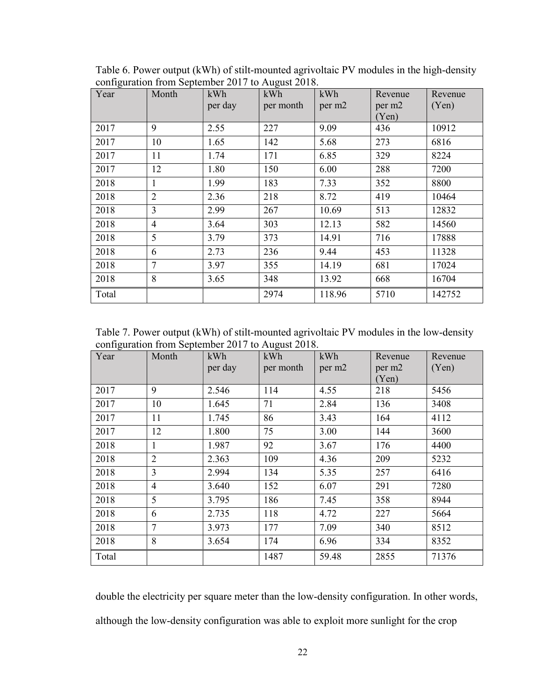| Year  | Month          | kWh<br>per day | kWh<br>per month | kWh<br>per m2 | Revenue<br>per m <sub>2</sub><br>(Yen) | Revenue<br>(Yen) |
|-------|----------------|----------------|------------------|---------------|----------------------------------------|------------------|
| 2017  | 9              | 2.55           | 227              | 9.09          | 436                                    | 10912            |
| 2017  | 10             | 1.65           | 142              | 5.68          | 273                                    | 6816             |
| 2017  | 11             | 1.74           | 171              | 6.85          | 329                                    | 8224             |
| 2017  | 12             | 1.80           | 150              | 6.00          | 288                                    | 7200             |
| 2018  | $\mathbf{1}$   | 1.99           | 183              | 7.33          | 352                                    | 8800             |
| 2018  | 2              | 2.36           | 218              | 8.72          | 419                                    | 10464            |
| 2018  | $\overline{3}$ | 2.99           | 267              | 10.69         | 513                                    | 12832            |
| 2018  | $\overline{4}$ | 3.64           | 303              | 12.13         | 582                                    | 14560            |
| 2018  | 5              | 3.79           | 373              | 14.91         | 716                                    | 17888            |
| 2018  | 6              | 2.73           | 236              | 9.44          | 453                                    | 11328            |
| 2018  | $\overline{7}$ | 3.97           | 355              | 14.19         | 681                                    | 17024            |
| 2018  | 8              | 3.65           | 348              | 13.92         | 668                                    | 16704            |
| Total |                |                | 2974             | 118.96        | 5710                                   | 142752           |

<span id="page-33-0"></span>Table 6. Power output (kWh) of stilt-mounted agrivoltaic PV modules in the high-density configuration from September 2017 to August 2018.

<span id="page-33-1"></span>Table 7. Power output (kWh) of stilt-mounted agrivoltaic PV modules in the low-density configuration from September 2017 to August 2018.

| Year  | Month          | kWh<br>per day | kWh<br>per month | kWh<br>per m2 | Revenue<br>per m <sub>2</sub><br>(Yen) | Revenue<br>(Yen) |
|-------|----------------|----------------|------------------|---------------|----------------------------------------|------------------|
| 2017  | 9              | 2.546          | 114              | 4.55          | 218                                    | 5456             |
| 2017  | 10             | 1.645          | 71               | 2.84          | 136                                    | 3408             |
| 2017  | 11             | 1.745          | 86               | 3.43          | 164                                    | 4112             |
| 2017  | 12             | 1.800          | 75               | 3.00          | 144                                    | 3600             |
| 2018  | 1              | 1.987          | 92               | 3.67          | 176                                    | 4400             |
| 2018  | $\overline{2}$ | 2.363          | 109              | 4.36          | 209                                    | 5232             |
| 2018  | $\overline{3}$ | 2.994          | 134              | 5.35          | 257                                    | 6416             |
| 2018  | $\overline{4}$ | 3.640          | 152              | 6.07          | 291                                    | 7280             |
| 2018  | 5              | 3.795          | 186              | 7.45          | 358                                    | 8944             |
| 2018  | 6              | 2.735          | 118              | 4.72          | 227                                    | 5664             |
| 2018  | $\overline{7}$ | 3.973          | 177              | 7.09          | 340                                    | 8512             |
| 2018  | 8              | 3.654          | 174              | 6.96          | 334                                    | 8352             |
| Total |                |                | 1487             | 59.48         | 2855                                   | 71376            |

double the electricity per square meter than the low-density configuration. In other words, although the low-density configuration was able to exploit more sunlight for the crop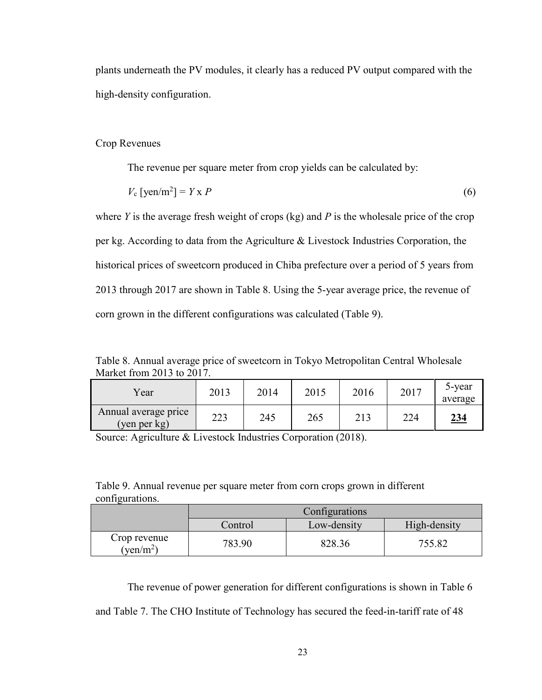plants underneath the PV modules, it clearly has a reduced PV output compared with the high-density configuration.

#### Crop Revenues

The revenue per square meter from crop yields can be calculated by:

$$
V_c \left[ \text{yen/m}^2 \right] = Y \times P \tag{6}
$$

where *Y* is the average fresh weight of crops (kg) and *P* is the wholesale price of the crop per kg. According to data from the Agriculture & Livestock Industries Corporation, the historical prices of sweetcorn produced in Chiba prefecture over a period of 5 years from 2013 through 2017 are shown in Table 8. Using the 5-year average price, the revenue of corn grown in the different configurations was calculated (Table 9).

<span id="page-34-0"></span>Table 8. Annual average price of sweetcorn in Tokyo Metropolitan Central Wholesale Market from 2013 to 2017.

| Year                                 | 2013 | 2014 | 2015 | 2016 | 2017 | 5-year<br>average |
|--------------------------------------|------|------|------|------|------|-------------------|
| Annual average price<br>(yen per kg) | 223  | 245  | 265  | 213  | 224  | <u>234</u>        |

Source: Agriculture & Livestock Industries Corporation (2018).

<span id="page-34-1"></span>Table 9. Annual revenue per square meter from corn crops grown in different configurations.

|                                    | Configurations                         |        |        |  |  |  |  |
|------------------------------------|----------------------------------------|--------|--------|--|--|--|--|
|                                    | High-density<br>Low-density<br>Control |        |        |  |  |  |  |
| Crop revenue<br>$(\text{ven/m}^2)$ | 783.90                                 | 828.36 | 755.82 |  |  |  |  |

The revenue of power generation for different configurations is shown in Table 6

and Table 7. The CHO Institute of Technology has secured the feed-in-tariff rate of 48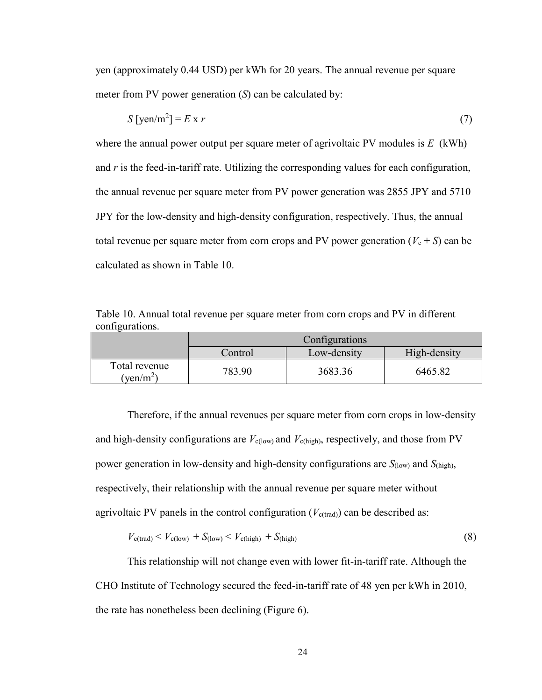yen (approximately 0.44 USD) per kWh for 20 years. The annual revenue per square meter from PV power generation (*S*) can be calculated by:

$$
S\left[\text{yen/m}^2\right] = E \times r \tag{7}
$$

where the annual power output per square meter of agrivoltaic PV modules is *E* (kWh) and *r* is the feed-in-tariff rate. Utilizing the corresponding values for each configuration, the annual revenue per square meter from PV power generation was 2855 JPY and 5710 JPY for the low-density and high-density configuration, respectively. Thus, the annual total revenue per square meter from corn crops and PV power generation ( $V_c + S$ ) can be calculated as shown in Table 10.

<span id="page-35-0"></span>Table 10. Annual total revenue per square meter from corn crops and PV in different configurations.

|                                        | Configurations                         |         |         |  |  |  |  |  |
|----------------------------------------|----------------------------------------|---------|---------|--|--|--|--|--|
|                                        | High-density<br>Low-density<br>Control |         |         |  |  |  |  |  |
| Total revenue<br>$v$ en/m <sup>2</sup> | 783.90                                 | 3683.36 | 6465.82 |  |  |  |  |  |

Therefore, if the annual revenues per square meter from corn crops in low-density and high-density configurations are  $V_{c(low)}$  and  $V_{c(high)}$ , respectively, and those from PV power generation in low-density and high-density configurations are *S*(low) and *S*(high), respectively, their relationship with the annual revenue per square meter without agrivoltaic PV panels in the control configuration  $(V_{c(trad)})$  can be described as:

$$
V_{\rm c(train)} < V_{\rm c(low)} + S_{\rm (low)} < V_{\rm c(high)} + S_{\rm (high)} \tag{8}
$$

This relationship will not change even with lower fit-in-tariff rate. Although the CHO Institute of Technology secured the feed-in-tariff rate of 48 yen per kWh in 2010, the rate has nonetheless been declining (Figure 6).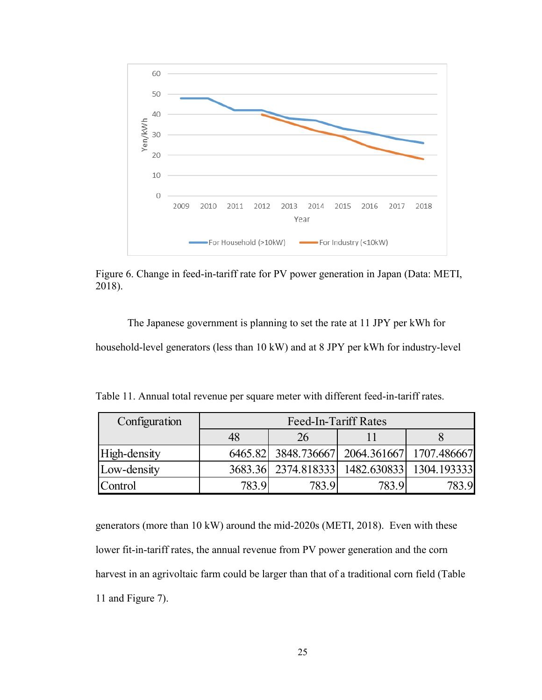

<span id="page-36-1"></span>Figure 6. Change in feed-in-tariff rate for PV power generation in Japan (Data: METI, 2018).

The Japanese government is planning to set the rate at 11 JPY per kWh for household-level generators (less than 10 kW) and at 8 JPY per kWh for industry-level

| Configuration | Feed-In-Tariff Rates |                                             |       |       |  |  |  |
|---------------|----------------------|---------------------------------------------|-------|-------|--|--|--|
|               | 48                   |                                             |       |       |  |  |  |
| High-density  |                      | 6465.82 3848.736667 2064.361667 1707.486667 |       |       |  |  |  |
| Low-density   |                      | 3683.36 2374.818333 1482.630833 1304.193333 |       |       |  |  |  |
| Control       | 783.9                | 783.9                                       | 783.9 | 783.9 |  |  |  |

<span id="page-36-0"></span>Table 11. Annual total revenue per square meter with different feed-in-tariff rates.

generators (more than 10 kW) around the mid-2020s (METI, 2018). Even with these lower fit-in-tariff rates, the annual revenue from PV power generation and the corn harvest in an agrivoltaic farm could be larger than that of a traditional corn field (Table 11 and Figure 7).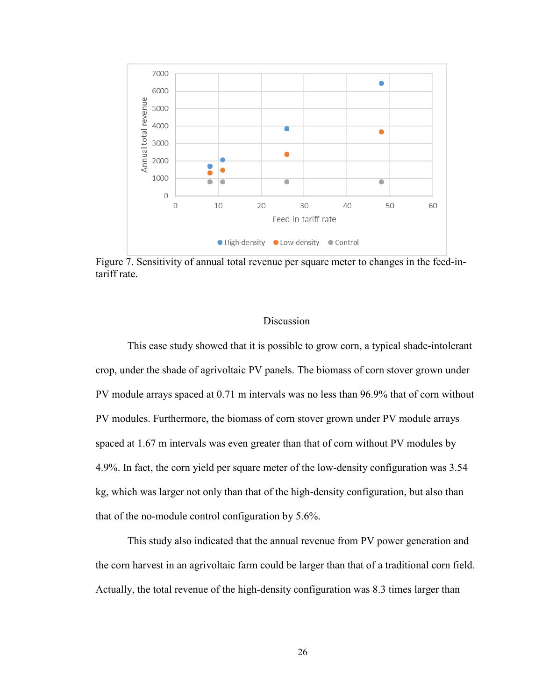

<span id="page-37-0"></span>Figure 7. Sensitivity of annual total revenue per square meter to changes in the feed-intariff rate.

#### Discussion

This case study showed that it is possible to grow corn, a typical shade-intolerant crop, under the shade of agrivoltaic PV panels. The biomass of corn stover grown under PV module arrays spaced at 0.71 m intervals was no less than 96.9% that of corn without PV modules. Furthermore, the biomass of corn stover grown under PV module arrays spaced at 1.67 m intervals was even greater than that of corn without PV modules by 4.9%. In fact, the corn yield per square meter of the low-density configuration was 3.54 kg, which was larger not only than that of the high-density configuration, but also than that of the no-module control configuration by 5.6%.

This study also indicated that the annual revenue from PV power generation and the corn harvest in an agrivoltaic farm could be larger than that of a traditional corn field. Actually, the total revenue of the high-density configuration was 8.3 times larger than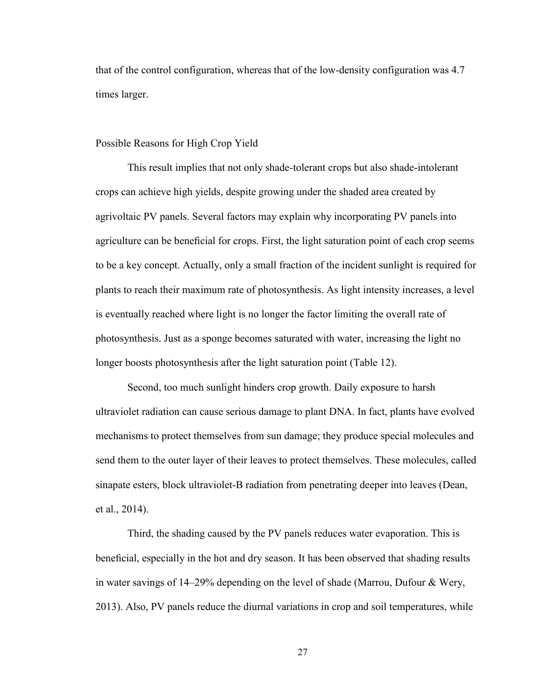that of the control configuration, whereas that of the low-density configuration was 4.7 times larger.

#### Possible Reasons for High Crop Yield

This result implies that not only shade-tolerant crops but also shade-intolerant crops can achieve high yields, despite growing under the shaded area created by agrivoltaic PV panels. Several factors may explain why incorporating PV panels into agriculture can be beneficial for crops. First, the light saturation point of each crop seems to be a key concept. Actually, only a small fraction of the incident sunlight is required for plants to reach their maximum rate of photosynthesis. As light intensity increases, a level is eventually reached where light is no longer the factor limiting the overall rate of photosynthesis. Just as a sponge becomes saturated with water, increasing the light no longer boosts photosynthesis after the light saturation point (Table 12).

Second, too much sunlight hinders crop growth. Daily exposure to harsh ultraviolet radiation can cause serious damage to plant DNA. In fact, plants have evolved mechanisms to protect themselves from sun damage; they produce special molecules and send them to the outer layer of their leaves to protect themselves. These molecules, called sinapate esters, block ultraviolet-B radiation from penetrating deeper into leaves (Dean, et al., 2014).

Third, the shading caused by the PV panels reduces water evaporation. This is beneficial, especially in the hot and dry season. It has been observed that shading results in water savings of 14–29% depending on the level of shade (Marrou, Dufour & Wery, 2013). Also, PV panels reduce the diurnal variations in crop and soil temperatures, while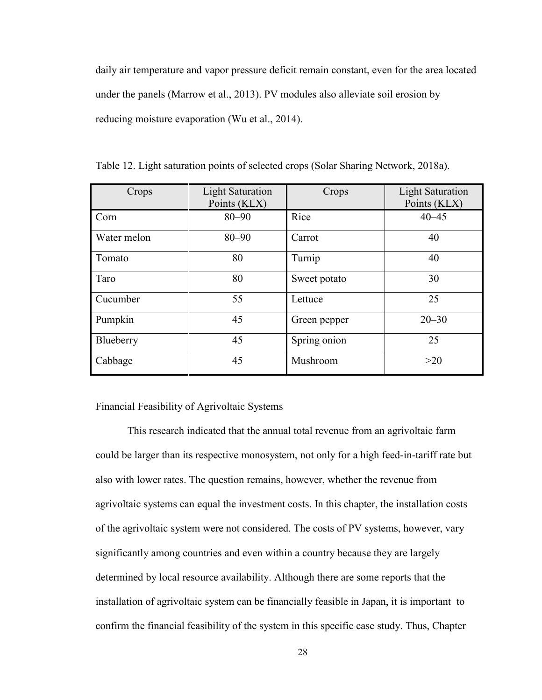daily air temperature and vapor pressure deficit remain constant, even for the area located under the panels (Marrow et al., 2013). PV modules also alleviate soil erosion by reducing moisture evaporation (Wu et al., 2014).

| Crops       | <b>Light Saturation</b><br>Points (KLX) | Crops        | <b>Light Saturation</b><br>Points (KLX) |
|-------------|-----------------------------------------|--------------|-----------------------------------------|
| Corn        | $80 - 90$                               | Rice         | $40 - 45$                               |
| Water melon | $80 - 90$                               | Carrot       | 40                                      |
| Tomato      | 80                                      | Turnip       | 40                                      |
| Taro        | 80                                      | Sweet potato | 30                                      |
| Cucumber    | 55                                      | Lettuce      | 25                                      |
| Pumpkin     | 45                                      | Green pepper | $20 - 30$                               |
| Blueberry   | 45                                      | Spring onion | 25                                      |
| Cabbage     | 45                                      | Mushroom     | >20                                     |

<span id="page-39-0"></span>Table 12. Light saturation points of selected crops (Solar Sharing Network, 2018a).

Financial Feasibility of Agrivoltaic Systems

This research indicated that the annual total revenue from an agrivoltaic farm could be larger than its respective monosystem, not only for a high feed-in-tariff rate but also with lower rates. The question remains, however, whether the revenue from agrivoltaic systems can equal the investment costs. In this chapter, the installation costs of the agrivoltaic system were not considered. The costs of PV systems, however, vary significantly among countries and even within a country because they are largely determined by local resource availability. Although there are some reports that the installation of agrivoltaic system can be financially feasible in Japan, it is important to confirm the financial feasibility of the system in this specific case study. Thus, Chapter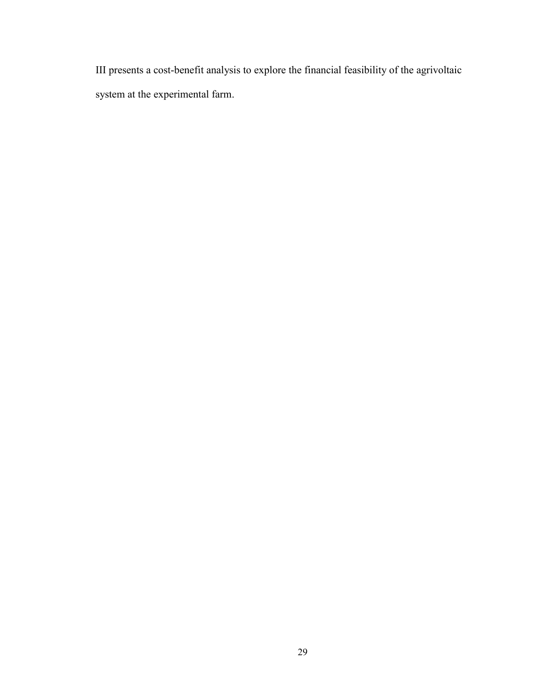III presents a cost-benefit analysis to explore the financial feasibility of the agrivoltaic system at the experimental farm.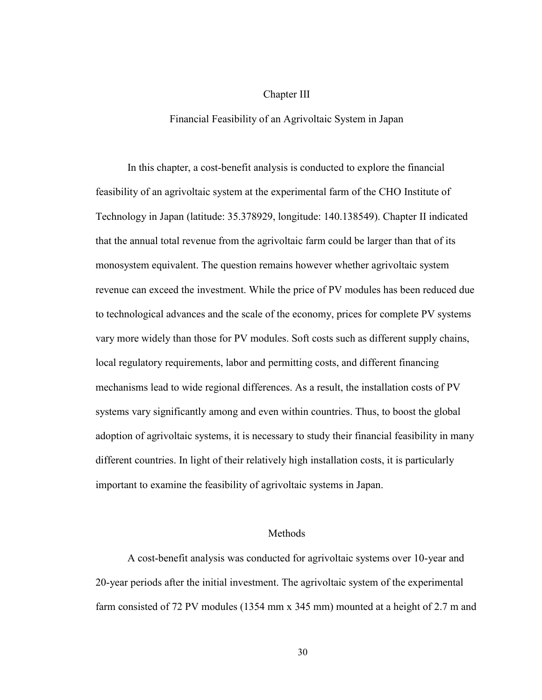#### Chapter III

#### Financial Feasibility of an Agrivoltaic System in Japan

In this chapter, a cost-benefit analysis is conducted to explore the financial feasibility of an agrivoltaic system at the experimental farm of the CHO Institute of Technology in Japan (latitude: 35.378929, longitude: 140.138549). Chapter II indicated that the annual total revenue from the agrivoltaic farm could be larger than that of its monosystem equivalent. The question remains however whether agrivoltaic system revenue can exceed the investment. While the price of PV modules has been reduced due to technological advances and the scale of the economy, prices for complete PV systems vary more widely than those for PV modules. Soft costs such as different supply chains, local regulatory requirements, labor and permitting costs, and different financing mechanisms lead to wide regional differences. As a result, the installation costs of PV systems vary significantly among and even within countries. Thus, to boost the global adoption of agrivoltaic systems, it is necessary to study their financial feasibility in many different countries. In light of their relatively high installation costs, it is particularly important to examine the feasibility of agrivoltaic systems in Japan.

#### Methods

A cost-benefit analysis was conducted for agrivoltaic systems over 10-year and 20-year periods after the initial investment. The agrivoltaic system of the experimental farm consisted of 72 PV modules (1354 mm x 345 mm) mounted at a height of 2.7 m and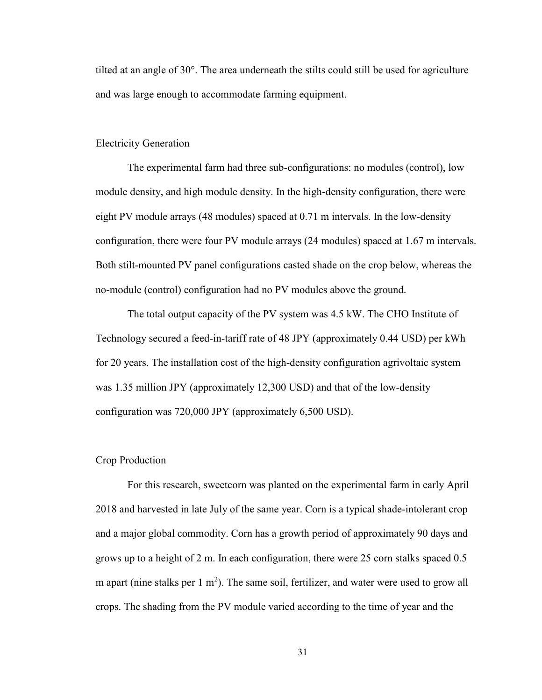tilted at an angle of 30°. The area underneath the stilts could still be used for agriculture and was large enough to accommodate farming equipment.

#### Electricity Generation

The experimental farm had three sub-configurations: no modules (control), low module density, and high module density. In the high-density configuration, there were eight PV module arrays (48 modules) spaced at 0.71 m intervals. In the low-density configuration, there were four PV module arrays (24 modules) spaced at 1.67 m intervals. Both stilt-mounted PV panel configurations casted shade on the crop below, whereas the no-module (control) configuration had no PV modules above the ground.

The total output capacity of the PV system was 4.5 kW. The CHO Institute of Technology secured a feed-in-tariff rate of 48 JPY (approximately 0.44 USD) per kWh for 20 years. The installation cost of the high-density configuration agrivoltaic system was 1.35 million JPY (approximately 12,300 USD) and that of the low-density configuration was 720,000 JPY (approximately 6,500 USD).

#### Crop Production

For this research, sweetcorn was planted on the experimental farm in early April 2018 and harvested in late July of the same year. Corn is a typical shade-intolerant crop and a major global commodity. Corn has a growth period of approximately 90 days and grows up to a height of 2 m. In each configuration, there were 25 corn stalks spaced 0.5 m apart (nine stalks per  $1 \text{ m}^2$ ). The same soil, fertilizer, and water were used to grow all crops. The shading from the PV module varied according to the time of year and the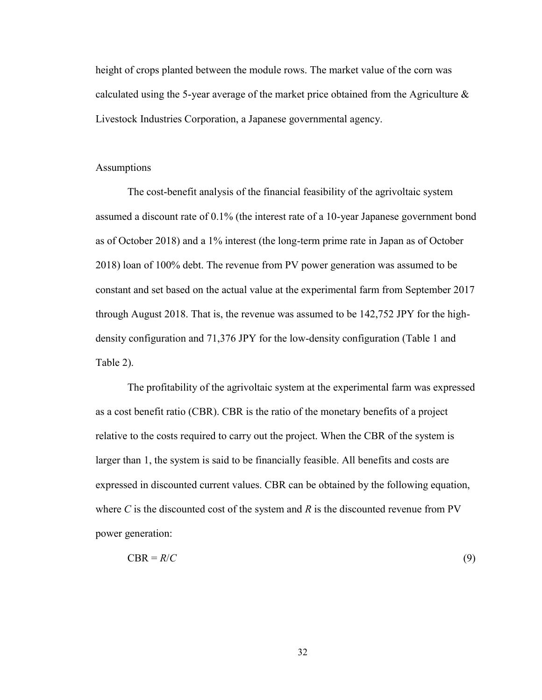height of crops planted between the module rows. The market value of the corn was calculated using the 5-year average of the market price obtained from the Agriculture  $\&$ Livestock Industries Corporation, a Japanese governmental agency.

#### **Assumptions**

The cost-benefit analysis of the financial feasibility of the agrivoltaic system assumed a discount rate of 0.1% (the interest rate of a 10-year Japanese government bond as of October 2018) and a 1% interest (the long-term prime rate in Japan as of October 2018) loan of 100% debt. The revenue from PV power generation was assumed to be constant and set based on the actual value at the experimental farm from September 2017 through August 2018. That is, the revenue was assumed to be 142,752 JPY for the highdensity configuration and 71,376 JPY for the low-density configuration (Table 1 and Table 2).

The profitability of the agrivoltaic system at the experimental farm was expressed as a cost benefit ratio (CBR). CBR is the ratio of the monetary benefits of a project relative to the costs required to carry out the project. When the CBR of the system is larger than 1, the system is said to be financially feasible. All benefits and costs are expressed in discounted current values. CBR can be obtained by the following equation, where *C* is the discounted cost of the system and *R* is the discounted revenue from PV power generation:

$$
CBR = R/C \tag{9}
$$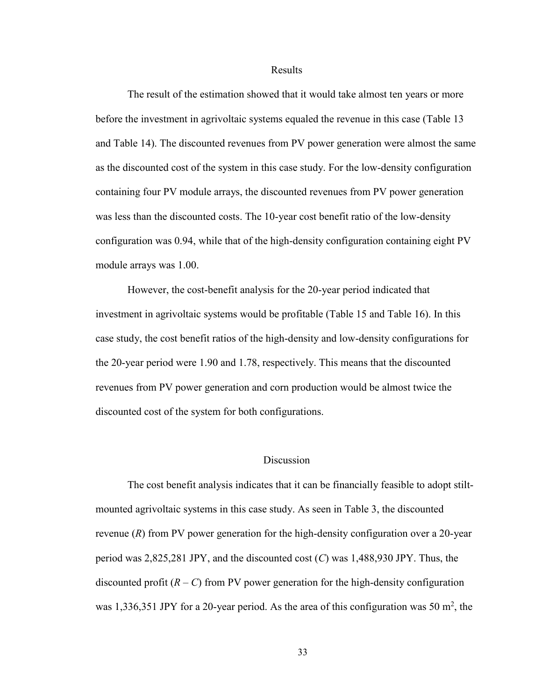#### Results

The result of the estimation showed that it would take almost ten years or more before the investment in agrivoltaic systems equaled the revenue in this case (Table 13 and Table 14). The discounted revenues from PV power generation were almost the same as the discounted cost of the system in this case study. For the low-density configuration containing four PV module arrays, the discounted revenues from PV power generation was less than the discounted costs. The 10-year cost benefit ratio of the low-density configuration was 0.94, while that of the high-density configuration containing eight PV module arrays was 1.00.

However, the cost-benefit analysis for the 20-year period indicated that investment in agrivoltaic systems would be profitable (Table 15 and Table 16). In this case study, the cost benefit ratios of the high-density and low-density configurations for the 20-year period were 1.90 and 1.78, respectively. This means that the discounted revenues from PV power generation and corn production would be almost twice the discounted cost of the system for both configurations.

#### **Discussion**

The cost benefit analysis indicates that it can be financially feasible to adopt stiltmounted agrivoltaic systems in this case study. As seen in Table 3, the discounted revenue (*R*) from PV power generation for the high-density configuration over a 20-year period was 2,825,281 JPY, and the discounted cost (*C*) was 1,488,930 JPY. Thus, the discounted profit  $(R - C)$  from PV power generation for the high-density configuration was 1,336,351 JPY for a 20-year period. As the area of this configuration was 50  $m^2$ , the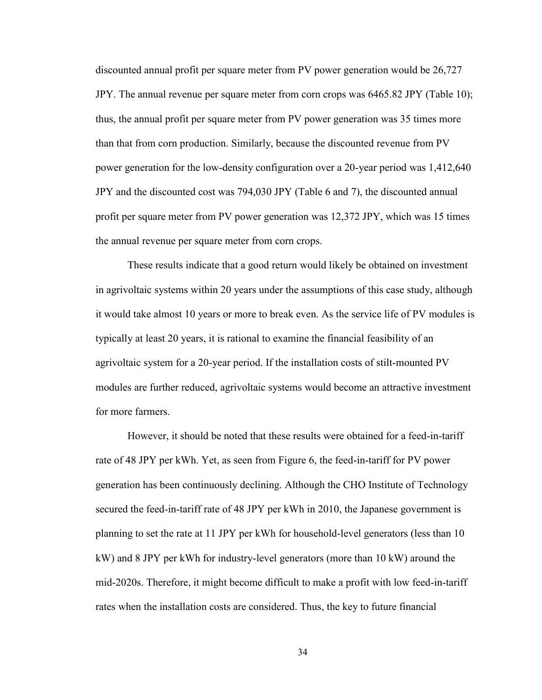discounted annual profit per square meter from PV power generation would be 26,727 JPY. The annual revenue per square meter from corn crops was 6465.82 JPY (Table 10); thus, the annual profit per square meter from PV power generation was 35 times more than that from corn production. Similarly, because the discounted revenue from PV power generation for the low-density configuration over a 20-year period was 1,412,640 JPY and the discounted cost was 794,030 JPY (Table 6 and 7), the discounted annual profit per square meter from PV power generation was 12,372 JPY, which was 15 times the annual revenue per square meter from corn crops.

These results indicate that a good return would likely be obtained on investment in agrivoltaic systems within 20 years under the assumptions of this case study, although it would take almost 10 years or more to break even. As the service life of PV modules is typically at least 20 years, it is rational to examine the financial feasibility of an agrivoltaic system for a 20-year period. If the installation costs of stilt-mounted PV modules are further reduced, agrivoltaic systems would become an attractive investment for more farmers.

However, it should be noted that these results were obtained for a feed-in-tariff rate of 48 JPY per kWh. Yet, as seen from Figure 6, the feed-in-tariff for PV power generation has been continuously declining. Although the CHO Institute of Technology secured the feed-in-tariff rate of 48 JPY per kWh in 2010, the Japanese government is planning to set the rate at 11 JPY per kWh for household-level generators (less than 10 kW) and 8 JPY per kWh for industry-level generators (more than 10 kW) around the mid-2020s. Therefore, it might become difficult to make a profit with low feed-in-tariff rates when the installation costs are considered. Thus, the key to future financial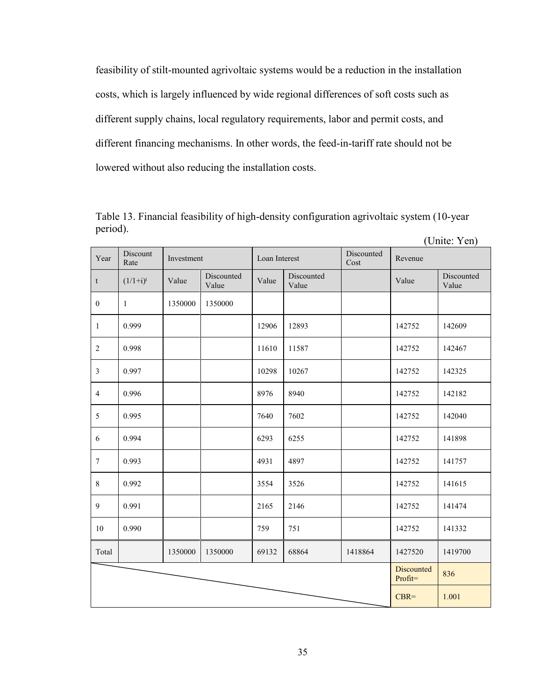feasibility of stilt-mounted agrivoltaic systems would be a reduction in the installation costs, which is largely influenced by wide regional differences of soft costs such as different supply chains, local regulatory requirements, labor and permit costs, and different financing mechanisms. In other words, the feed-in-tariff rate should not be lowered without also reducing the installation costs.

| Year             | Discount<br>Rate | Investment |                     |       | Discounted<br>Loan Interest<br>Cost |         | Revenue                      |                     |
|------------------|------------------|------------|---------------------|-------|-------------------------------------|---------|------------------------------|---------------------|
| $\mathsf t$      | $(1/1+i)^t$      | Value      | Discounted<br>Value | Value | Discounted<br>Value                 |         | Value                        | Discounted<br>Value |
| $\boldsymbol{0}$ | $\mathbf{1}$     | 1350000    | 1350000             |       |                                     |         |                              |                     |
| $\mathbf{1}$     | 0.999            |            |                     | 12906 | 12893                               |         | 142752                       | 142609              |
| $\overline{2}$   | 0.998            |            |                     | 11610 | 11587                               |         | 142752                       | 142467              |
| $\mathfrak{Z}$   | 0.997            |            |                     | 10298 | 10267                               |         | 142752                       | 142325              |
| $\overline{4}$   | 0.996            |            |                     | 8976  | 8940                                |         | 142752                       | 142182              |
| 5                | 0.995            |            |                     | 7640  | 7602                                |         | 142752                       | 142040              |
| 6                | 0.994            |            |                     | 6293  | 6255                                |         | 142752                       | 141898              |
| $\boldsymbol{7}$ | 0.993            |            |                     | 4931  | 4897                                |         | 142752                       | 141757              |
| $\,$ 8 $\,$      | 0.992            |            |                     | 3554  | 3526                                |         | 142752                       | 141615              |
| $\boldsymbol{9}$ | 0.991            |            |                     | 2165  | 2146                                |         | 142752                       | 141474              |
| 10               | 0.990            |            |                     | 759   | 751                                 |         | 142752                       | 141332              |
| Total            |                  | 1350000    | 1350000             | 69132 | 68864                               | 1418864 | 1427520                      | 1419700             |
|                  |                  |            |                     |       |                                     |         | <b>Discounted</b><br>Profit= | 836                 |
|                  |                  |            |                     |       |                                     |         |                              | 1.001               |

<span id="page-46-0"></span>Table 13. Financial feasibility of high-density configuration agrivoltaic system (10-year period).

(Unite: Yen)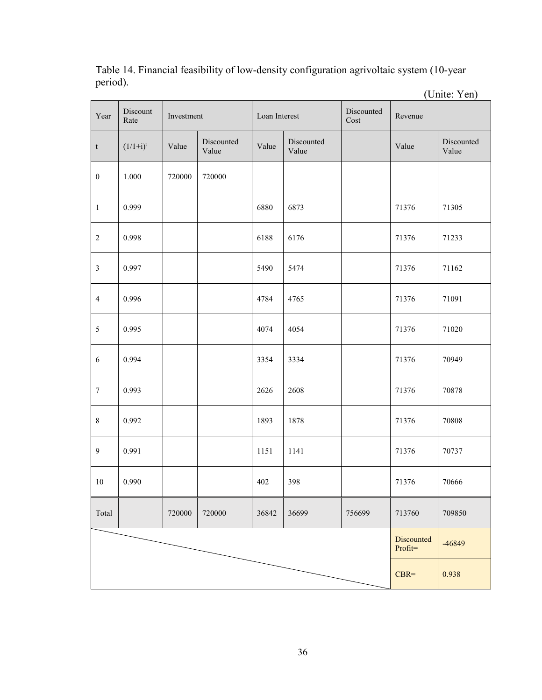|                           |                  |            |                     |               |                     |                    |         | (Unite: Yen)        |
|---------------------------|------------------|------------|---------------------|---------------|---------------------|--------------------|---------|---------------------|
| Year                      | Discount<br>Rate | Investment |                     | Loan Interest |                     | Discounted<br>Cost | Revenue |                     |
| $\ensuremath{\mathbf{t}}$ | $(1/1+i)^t$      | Value      | Discounted<br>Value | Value         | Discounted<br>Value |                    | Value   | Discounted<br>Value |
| $\boldsymbol{0}$          | 1.000            | 720000     | 720000              |               |                     |                    |         |                     |
| $\,1\,$                   | 0.999            |            |                     | 6880          | 6873                |                    | 71376   | 71305               |
| $\sqrt{2}$                | 0.998            |            |                     | 6188          | 6176                |                    | 71376   | 71233               |
| $\mathfrak{Z}$            | 0.997            |            |                     | 5490          | 5474                |                    | 71376   | 71162               |
| $\overline{4}$            | 0.996            |            |                     | 4784          | 4765                |                    | 71376   | 71091               |
| $\mathfrak{S}$            | 0.995            |            |                     | 4074          | 4054                |                    | 71376   | 71020               |
| $\sqrt{6}$                | 0.994            |            |                     | 3354          | 3334                |                    | 71376   | 70949               |
| $\boldsymbol{7}$          | 0.993            |            |                     | 2626          | 2608                |                    | 71376   | 70878               |
| $\,8\,$                   | 0.992            |            |                     | 1893          | 1878                |                    | 71376   | 70808               |
| $\boldsymbol{9}$          | 0.991            |            |                     | 1151          | 1141                |                    | 71376   | 70737               |
| 10                        | 0.990            |            |                     | 402           | 398                 |                    | 71376   | 70666               |
| Total                     |                  | 720000     | 720000              | 36842         | 36699               | 756699             | 713760  | 709850              |
|                           |                  |            |                     |               |                     |                    |         | -46849              |
|                           |                  |            |                     |               |                     |                    |         | 0.938               |

<span id="page-47-0"></span>Table 14. Financial feasibility of low-density configuration agrivoltaic system (10-year period).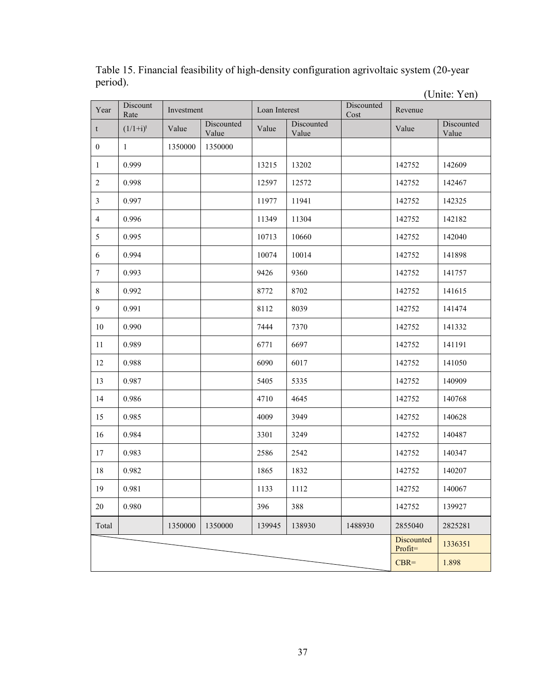|                           |                  |            |                     |               |                     |                    |         | (Unite: Yen)        |
|---------------------------|------------------|------------|---------------------|---------------|---------------------|--------------------|---------|---------------------|
| Year                      | Discount<br>Rate | Investment |                     | Loan Interest |                     | Discounted<br>Cost | Revenue |                     |
| $\ensuremath{\mathbf{t}}$ | $(1/1+i)^t$      | Value      | Discounted<br>Value | Value         | Discounted<br>Value |                    | Value   | Discounted<br>Value |
| $\boldsymbol{0}$          | $\mathbf{1}$     | 1350000    | 1350000             |               |                     |                    |         |                     |
| $\mathbf{1}$              | 0.999            |            |                     | 13215         | 13202               |                    | 142752  | 142609              |
| $\sqrt{2}$                | 0.998            |            |                     | 12597         | 12572               |                    | 142752  | 142467              |
| $\mathfrak{Z}$            | 0.997            |            |                     | 11977         | 11941               |                    | 142752  | 142325              |
| $\overline{4}$            | 0.996            |            |                     | 11349         | 11304               |                    | 142752  | 142182              |
| $\sqrt{5}$                | 0.995            |            |                     | 10713         | 10660               |                    | 142752  | 142040              |
| 6                         | 0.994            |            |                     | 10074         | 10014               |                    | 142752  | 141898              |
| $\boldsymbol{7}$          | 0.993            |            |                     | 9426          | 9360                |                    | 142752  | 141757              |
| $\,8\,$                   | 0.992            |            |                     | 8772          | 8702                |                    | 142752  | 141615              |
| $\overline{9}$            | 0.991            |            |                     | 8112          | 8039                |                    | 142752  | 141474              |
| $10\,$                    | 0.990            |            |                     | 7444          | 7370                |                    | 142752  | 141332              |
| 11                        | 0.989            |            |                     | 6771          | 6697                |                    | 142752  | 141191              |
| 12                        | 0.988            |            |                     | 6090          | 6017                |                    | 142752  | 141050              |
| 13                        | 0.987            |            |                     | 5405          | 5335                |                    | 142752  | 140909              |
| 14                        | 0.986            |            |                     | 4710          | 4645                |                    | 142752  | 140768              |
| 15                        | 0.985            |            |                     | 4009          | 3949                |                    | 142752  | 140628              |
| 16                        | 0.984            |            |                     | 3301          | 3249                |                    | 142752  | 140487              |
| 17                        | 0.983            |            |                     | 2586          | 2542                |                    | 142752  | 140347              |
| 18                        | 0.982            |            |                     | 1865          | 1832                |                    | 142752  | 140207              |
| 19                        | 0.981            |            |                     | 1133          | 1112                |                    | 142752  | 140067              |
| $20\,$                    | 0.980            |            |                     | 396           | 388                 |                    | 142752  | 139927              |
| Total                     |                  | 1350000    | 1350000             | 139945        | 138930              | 1488930            | 2855040 | 2825281             |
|                           |                  |            |                     |               |                     |                    |         | 1336351             |
|                           |                  |            |                     |               |                     |                    |         | 1.898               |

<span id="page-48-0"></span>Table 15. Financial feasibility of high-density configuration agrivoltaic system (20-year period).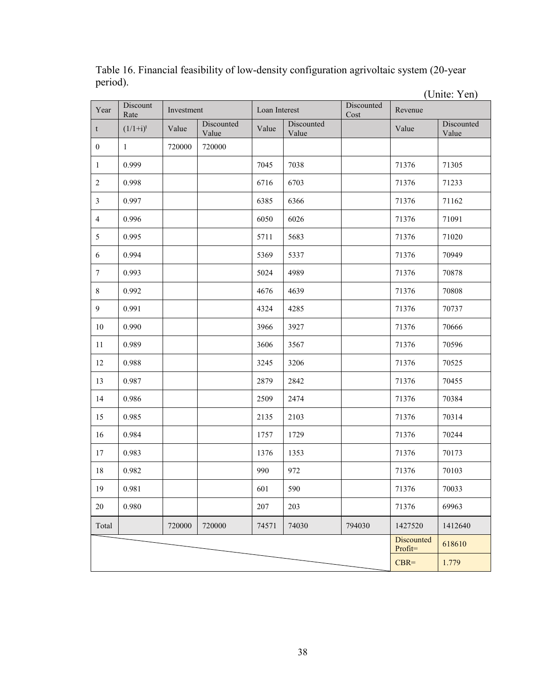|                           |                  |            |                     |               |                     |                    |                       | (Unite: Yen)        |
|---------------------------|------------------|------------|---------------------|---------------|---------------------|--------------------|-----------------------|---------------------|
| Year                      | Discount<br>Rate | Investment |                     | Loan Interest |                     | Discounted<br>Cost | Revenue               |                     |
| $\ensuremath{\mathbf{t}}$ | $(1/1+i)^t$      | Value      | Discounted<br>Value | Value         | Discounted<br>Value |                    | Value                 | Discounted<br>Value |
| $\boldsymbol{0}$          | $\mathbf{1}$     | 720000     | 720000              |               |                     |                    |                       |                     |
| $\mathbf{1}$              | 0.999            |            |                     | 7045          | 7038                |                    | 71376                 | 71305               |
| $\sqrt{2}$                | 0.998            |            |                     | 6716          | 6703                |                    | 71376                 | 71233               |
| $\mathfrak{Z}$            | 0.997            |            |                     | 6385          | 6366                |                    | 71376                 | 71162               |
| $\overline{4}$            | 0.996            |            |                     | 6050          | 6026                |                    | 71376                 | 71091               |
| $\mathfrak{S}$            | 0.995            |            |                     | 5711          | 5683                |                    | 71376                 | 71020               |
| 6                         | 0.994            |            |                     | 5369          | 5337                |                    | 71376                 | 70949               |
| $\boldsymbol{7}$          | 0.993            |            |                     | 5024          | 4989                |                    | 71376                 | 70878               |
| $8\,$                     | 0.992            |            |                     | 4676          | 4639                |                    | 71376                 | 70808               |
| $\mathbf{9}$              | 0.991            |            |                     | 4324          | 4285                |                    | 71376                 | 70737               |
| 10                        | 0.990            |            |                     | 3966          | 3927                |                    | 71376                 | 70666               |
| 11                        | 0.989            |            |                     | 3606          | 3567                |                    | 71376                 | 70596               |
| 12                        | 0.988            |            |                     | 3245          | 3206                |                    | 71376                 | 70525               |
| 13                        | 0.987            |            |                     | 2879          | 2842                |                    | 71376                 | 70455               |
| 14                        | 0.986            |            |                     | 2509          | 2474                |                    | 71376                 | 70384               |
| 15                        | 0.985            |            |                     | 2135          | 2103                |                    | 71376                 | 70314               |
| 16                        | 0.984            |            |                     | 1757          | 1729                |                    | 71376                 | 70244               |
| 17                        | 0.983            |            |                     | 1376          | 1353                |                    | 71376                 | 70173               |
| $18\,$                    | 0.982            |            |                     | 990           | 972                 |                    | 71376                 | 70103               |
| 19                        | 0.981            |            |                     | 601           | 590                 |                    | 71376                 | 70033               |
| $20\,$                    | 0.980            |            |                     | 207           | 203                 |                    | 71376                 | 69963               |
| Total                     |                  | 720000     | 720000              | 74571         | 74030               | 794030             | 1427520               | 1412640             |
|                           |                  |            |                     |               |                     |                    | Discounted<br>Profit= | 618610              |
|                           |                  |            |                     |               |                     |                    | $CBR=$                | 1.779               |

<span id="page-49-0"></span>Table 16. Financial feasibility of low-density configuration agrivoltaic system (20-year period).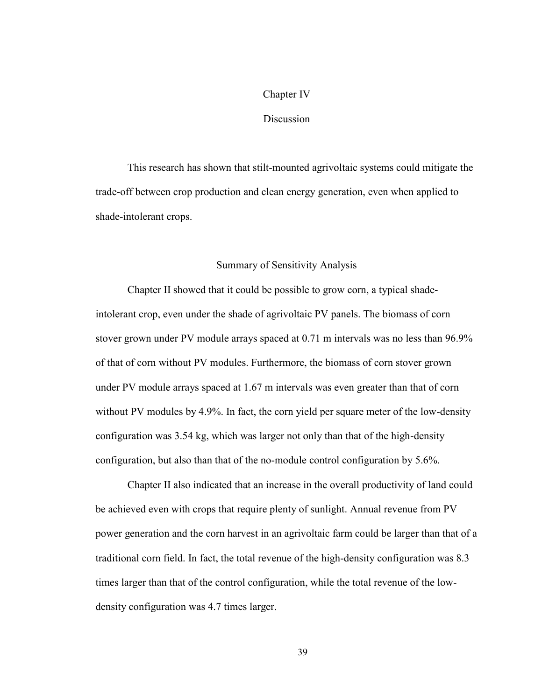### Chapter IV

#### Discussion

This research has shown that stilt-mounted agrivoltaic systems could mitigate the trade-off between crop production and clean energy generation, even when applied to shade-intolerant crops.

#### Summary of Sensitivity Analysis

Chapter II showed that it could be possible to grow corn, a typical shadeintolerant crop, even under the shade of agrivoltaic PV panels. The biomass of corn stover grown under PV module arrays spaced at 0.71 m intervals was no less than 96.9% of that of corn without PV modules. Furthermore, the biomass of corn stover grown under PV module arrays spaced at 1.67 m intervals was even greater than that of corn without PV modules by 4.9%. In fact, the corn yield per square meter of the low-density configuration was 3.54 kg, which was larger not only than that of the high-density configuration, but also than that of the no-module control configuration by 5.6%.

Chapter II also indicated that an increase in the overall productivity of land could be achieved even with crops that require plenty of sunlight. Annual revenue from PV power generation and the corn harvest in an agrivoltaic farm could be larger than that of a traditional corn field. In fact, the total revenue of the high-density configuration was 8.3 times larger than that of the control configuration, while the total revenue of the lowdensity configuration was 4.7 times larger.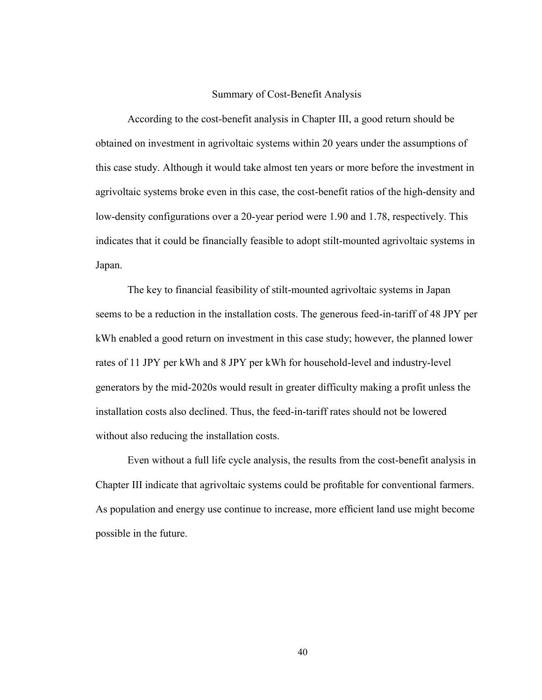#### Summary of Cost-Benefit Analysis

According to the cost-benefit analysis in Chapter III, a good return should be obtained on investment in agrivoltaic systems within 20 years under the assumptions of this case study. Although it would take almost ten years or more before the investment in agrivoltaic systems broke even in this case, the cost-benefit ratios of the high-density and low-density configurations over a 20-year period were 1.90 and 1.78, respectively. This indicates that it could be financially feasible to adopt stilt-mounted agrivoltaic systems in Japan.

The key to financial feasibility of stilt-mounted agrivoltaic systems in Japan seems to be a reduction in the installation costs. The generous feed-in-tariff of 48 JPY per kWh enabled a good return on investment in this case study; however, the planned lower rates of 11 JPY per kWh and 8 JPY per kWh for household-level and industry-level generators by the mid-2020s would result in greater difficulty making a profit unless the installation costs also declined. Thus, the feed-in-tariff rates should not be lowered without also reducing the installation costs.

Even without a full life cycle analysis, the results from the cost-benefit analysis in Chapter III indicate that agrivoltaic systems could be profitable for conventional farmers. As population and energy use continue to increase, more efficient land use might become possible in the future.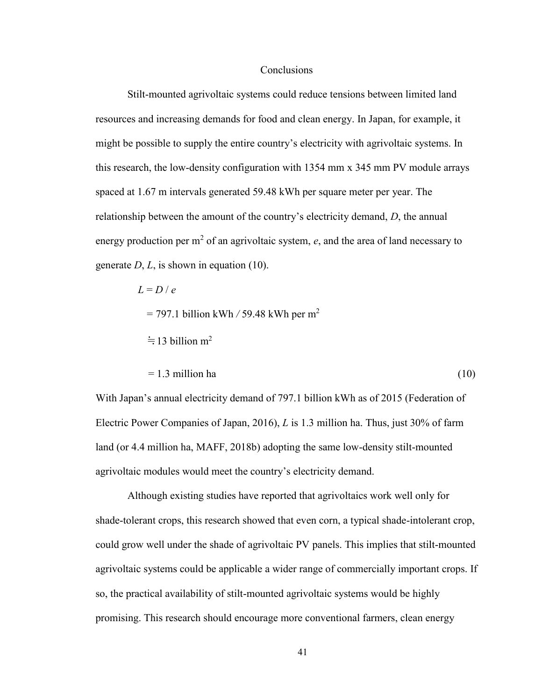#### Conclusions

Stilt-mounted agrivoltaic systems could reduce tensions between limited land resources and increasing demands for food and clean energy. In Japan, for example, it might be possible to supply the entire country's electricity with agrivoltaic systems. In this research, the low-density configuration with 1354 mm x 345 mm PV module arrays spaced at 1.67 m intervals generated 59.48 kWh per square meter per year. The relationship between the amount of the country's electricity demand, *D*, the annual energy production per  $m^2$  of an agrivoltaic system,  $e$ , and the area of land necessary to generate *D*, *L*, is shown in equation (10).

$$
L = D / e
$$
  
= 797.1 billion kWh / 59.48 kWh per m<sup>2</sup>  

$$
\approx 13 \text{ billion m}^2
$$

$$
= 1.3 \text{ million ha} \tag{10}
$$

With Japan's annual electricity demand of 797.1 billion kWh as of 2015 (Federation of Electric Power Companies of Japan, 2016), *L* is 1.3 million ha. Thus, just 30% of farm land (or 4.4 million ha, MAFF, 2018b) adopting the same low-density stilt-mounted agrivoltaic modules would meet the country's electricity demand.

Although existing studies have reported that agrivoltaics work well only for shade-tolerant crops, this research showed that even corn, a typical shade-intolerant crop, could grow well under the shade of agrivoltaic PV panels. This implies that stilt-mounted agrivoltaic systems could be applicable a wider range of commercially important crops. If so, the practical availability of stilt-mounted agrivoltaic systems would be highly promising. This research should encourage more conventional farmers, clean energy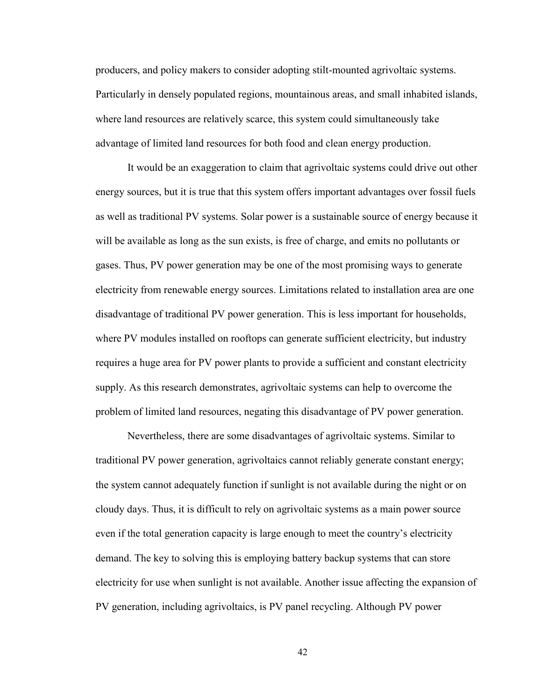producers, and policy makers to consider adopting stilt-mounted agrivoltaic systems. Particularly in densely populated regions, mountainous areas, and small inhabited islands, where land resources are relatively scarce, this system could simultaneously take advantage of limited land resources for both food and clean energy production.

It would be an exaggeration to claim that agrivoltaic systems could drive out other energy sources, but it is true that this system offers important advantages over fossil fuels as well as traditional PV systems. Solar power is a sustainable source of energy because it will be available as long as the sun exists, is free of charge, and emits no pollutants or gases. Thus, PV power generation may be one of the most promising ways to generate electricity from renewable energy sources. Limitations related to installation area are one disadvantage of traditional PV power generation. This is less important for households, where PV modules installed on rooftops can generate sufficient electricity, but industry requires a huge area for PV power plants to provide a sufficient and constant electricity supply. As this research demonstrates, agrivoltaic systems can help to overcome the problem of limited land resources, negating this disadvantage of PV power generation.

Nevertheless, there are some disadvantages of agrivoltaic systems. Similar to traditional PV power generation, agrivoltaics cannot reliably generate constant energy; the system cannot adequately function if sunlight is not available during the night or on cloudy days. Thus, it is difficult to rely on agrivoltaic systems as a main power source even if the total generation capacity is large enough to meet the country's electricity demand. The key to solving this is employing battery backup systems that can store electricity for use when sunlight is not available. Another issue affecting the expansion of PV generation, including agrivoltaics, is PV panel recycling. Although PV power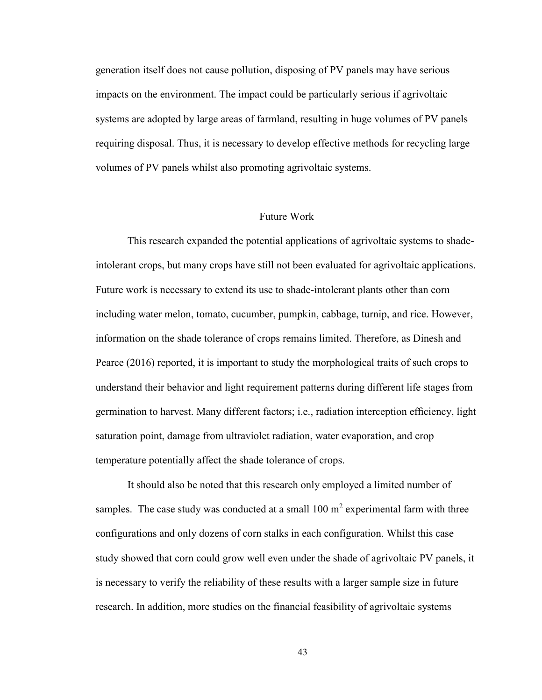generation itself does not cause pollution, disposing of PV panels may have serious impacts on the environment. The impact could be particularly serious if agrivoltaic systems are adopted by large areas of farmland, resulting in huge volumes of PV panels requiring disposal. Thus, it is necessary to develop effective methods for recycling large volumes of PV panels whilst also promoting agrivoltaic systems.

#### Future Work

This research expanded the potential applications of agrivoltaic systems to shadeintolerant crops, but many crops have still not been evaluated for agrivoltaic applications. Future work is necessary to extend its use to shade-intolerant plants other than corn including water melon, tomato, cucumber, pumpkin, cabbage, turnip, and rice. However, information on the shade tolerance of crops remains limited. Therefore, as Dinesh and Pearce (2016) reported, it is important to study the morphological traits of such crops to understand their behavior and light requirement patterns during different life stages from germination to harvest. Many different factors; i.e., radiation interception efficiency, light saturation point, damage from ultraviolet radiation, water evaporation, and crop temperature potentially affect the shade tolerance of crops.

It should also be noted that this research only employed a limited number of samples. The case study was conducted at a small  $100 \text{ m}^2$  experimental farm with three configurations and only dozens of corn stalks in each configuration. Whilst this case study showed that corn could grow well even under the shade of agrivoltaic PV panels, it is necessary to verify the reliability of these results with a larger sample size in future research. In addition, more studies on the financial feasibility of agrivoltaic systems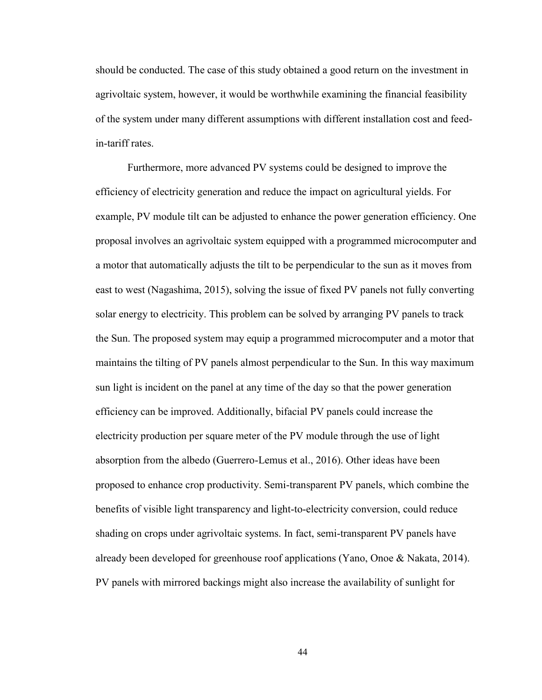should be conducted. The case of this study obtained a good return on the investment in agrivoltaic system, however, it would be worthwhile examining the financial feasibility of the system under many different assumptions with different installation cost and feedin-tariff rates.

Furthermore, more advanced PV systems could be designed to improve the efficiency of electricity generation and reduce the impact on agricultural yields. For example, PV module tilt can be adjusted to enhance the power generation efficiency. One proposal involves an agrivoltaic system equipped with a programmed microcomputer and a motor that automatically adjusts the tilt to be perpendicular to the sun as it moves from east to west (Nagashima, 2015), solving the issue of fixed PV panels not fully converting solar energy to electricity. This problem can be solved by arranging PV panels to track the Sun. The proposed system may equip a programmed microcomputer and a motor that maintains the tilting of PV panels almost perpendicular to the Sun. In this way maximum sun light is incident on the panel at any time of the day so that the power generation efficiency can be improved. Additionally, bifacial PV panels could increase the electricity production per square meter of the PV module through the use of light absorption from the albedo (Guerrero-Lemus et al., 2016). Other ideas have been proposed to enhance crop productivity. Semi-transparent PV panels, which combine the benefits of visible light transparency and light-to-electricity conversion, could reduce shading on crops under agrivoltaic systems. In fact, semi-transparent PV panels have already been developed for greenhouse roof applications (Yano, Onoe & Nakata, 2014). PV panels with mirrored backings might also increase the availability of sunlight for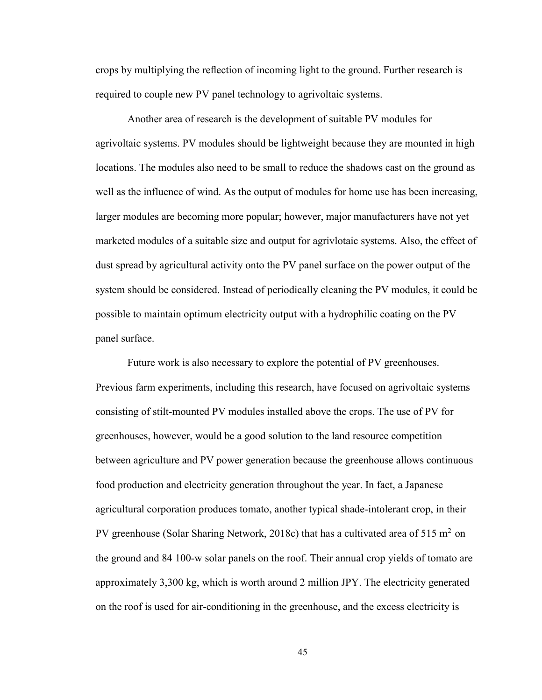crops by multiplying the reflection of incoming light to the ground. Further research is required to couple new PV panel technology to agrivoltaic systems.

Another area of research is the development of suitable PV modules for agrivoltaic systems. PV modules should be lightweight because they are mounted in high locations. The modules also need to be small to reduce the shadows cast on the ground as well as the influence of wind. As the output of modules for home use has been increasing, larger modules are becoming more popular; however, major manufacturers have not yet marketed modules of a suitable size and output for agrivlotaic systems. Also, the effect of dust spread by agricultural activity onto the PV panel surface on the power output of the system should be considered. Instead of periodically cleaning the PV modules, it could be possible to maintain optimum electricity output with a hydrophilic coating on the PV panel surface.

Future work is also necessary to explore the potential of PV greenhouses. Previous farm experiments, including this research, have focused on agrivoltaic systems consisting of stilt-mounted PV modules installed above the crops. The use of PV for greenhouses, however, would be a good solution to the land resource competition between agriculture and PV power generation because the greenhouse allows continuous food production and electricity generation throughout the year. In fact, a Japanese agricultural corporation produces tomato, another typical shade-intolerant crop, in their PV greenhouse (Solar Sharing Network, 2018c) that has a cultivated area of 515 m<sup>2</sup> on the ground and 84 100-w solar panels on the roof. Their annual crop yields of tomato are approximately 3,300 kg, which is worth around 2 million JPY. The electricity generated on the roof is used for air-conditioning in the greenhouse, and the excess electricity is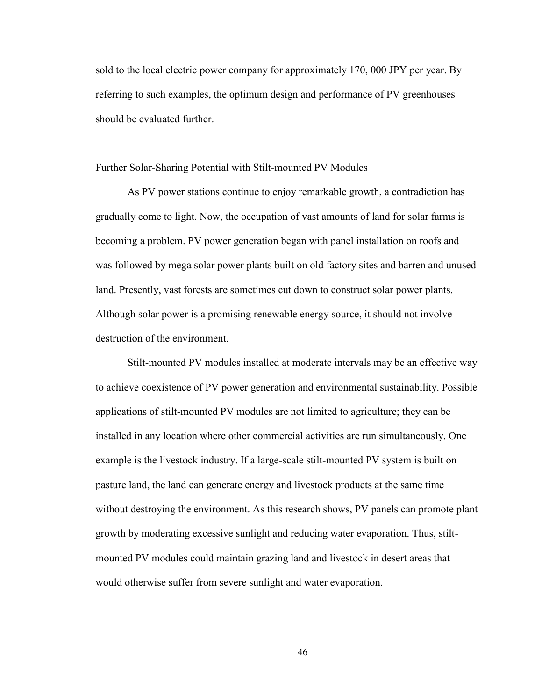sold to the local electric power company for approximately 170, 000 JPY per year. By referring to such examples, the optimum design and performance of PV greenhouses should be evaluated further.

#### Further Solar-Sharing Potential with Stilt-mounted PV Modules

As PV power stations continue to enjoy remarkable growth, a contradiction has gradually come to light. Now, the occupation of vast amounts of land for solar farms is becoming a problem. PV power generation began with panel installation on roofs and was followed by mega solar power plants built on old factory sites and barren and unused land. Presently, vast forests are sometimes cut down to construct solar power plants. Although solar power is a promising renewable energy source, it should not involve destruction of the environment.

Stilt-mounted PV modules installed at moderate intervals may be an effective way to achieve coexistence of PV power generation and environmental sustainability. Possible applications of stilt-mounted PV modules are not limited to agriculture; they can be installed in any location where other commercial activities are run simultaneously. One example is the livestock industry. If a large-scale stilt-mounted PV system is built on pasture land, the land can generate energy and livestock products at the same time without destroying the environment. As this research shows, PV panels can promote plant growth by moderating excessive sunlight and reducing water evaporation. Thus, stiltmounted PV modules could maintain grazing land and livestock in desert areas that would otherwise suffer from severe sunlight and water evaporation.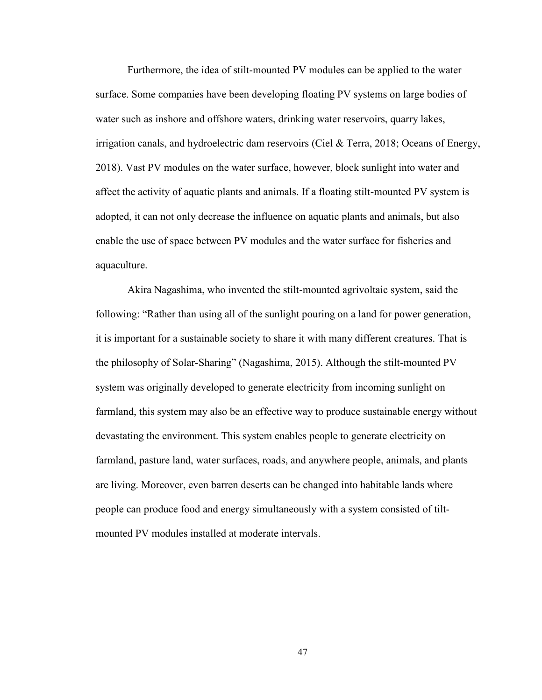Furthermore, the idea of stilt-mounted PV modules can be applied to the water surface. Some companies have been developing floating PV systems on large bodies of water such as inshore and offshore waters, drinking water reservoirs, quarry lakes, irrigation canals, and hydroelectric dam reservoirs (Ciel & Terra, 2018; Oceans of Energy, 2018). Vast PV modules on the water surface, however, block sunlight into water and affect the activity of aquatic plants and animals. If a floating stilt-mounted PV system is adopted, it can not only decrease the influence on aquatic plants and animals, but also enable the use of space between PV modules and the water surface for fisheries and aquaculture.

Akira Nagashima, who invented the stilt-mounted agrivoltaic system, said the following: "Rather than using all of the sunlight pouring on a land for power generation, it is important for a sustainable society to share it with many different creatures. That is the philosophy of Solar-Sharing" (Nagashima, 2015). Although the stilt-mounted PV system was originally developed to generate electricity from incoming sunlight on farmland, this system may also be an effective way to produce sustainable energy without devastating the environment. This system enables people to generate electricity on farmland, pasture land, water surfaces, roads, and anywhere people, animals, and plants are living. Moreover, even barren deserts can be changed into habitable lands where people can produce food and energy simultaneously with a system consisted of tiltmounted PV modules installed at moderate intervals.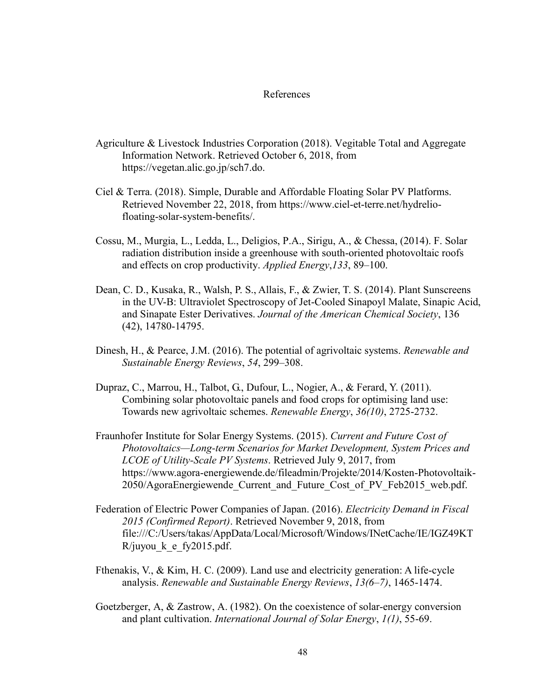#### References

- Agriculture & Livestock Industries Corporation (2018). Vegitable Total and Aggregate Information Network. Retrieved October 6, 2018, from https://vegetan.alic.go.jp/sch7.do.
- Ciel & Terra. (2018). Simple, Durable and Affordable Floating Solar PV Platforms. Retrieved November 22, 2018, from https://www.ciel-et-terre.net/hydreliofloating-solar-system-benefits/.
- Cossu, M., Murgia, L., Ledda, L., Deligios, P.A., Sirigu, A., & Chessa, (2014). F. Solar radiation distribution inside a greenhouse with south-oriented photovoltaic roofs and effects on crop productivity. *Applied Energy*,*133*, 89–100.
- Dean, C. D., Kusaka, R., Walsh, P. S., Allais, F., & Zwier, T. S. (2014). Plant Sunscreens in the UV-B: Ultraviolet Spectroscopy of Jet-Cooled Sinapoyl Malate, Sinapic Acid, and Sinapate Ester Derivatives. *Journal of the American Chemical Society*, 136 (42), 14780-14795.
- Dinesh, H., & Pearce, J.M. (2016). The potential of agrivoltaic systems. *Renewable and Sustainable Energy Reviews*, *54*, 299–308.
- Dupraz, C., Marrou, H., Talbot, G., Dufour, L., Nogier, A., & Ferard, Y. (2011). Combining solar photovoltaic panels and food crops for optimising land use: Towards new agrivoltaic schemes. *Renewable Energy*, *36(10)*, 2725-2732.
- Fraunhofer Institute for Solar Energy Systems. (2015). *Current and Future Cost of Photovoltaics—Long-term Scenarios for Market Development, System Prices and LCOE of Utility-Scale PV Systems*. Retrieved July 9, 2017, from https://www.agora-energiewende.de/fileadmin/Projekte/2014/Kosten-Photovoltaik-2050/AgoraEnergiewende\_Current\_and\_Future\_Cost\_of\_PV\_Feb2015\_web.pdf.
- Federation of Electric Power Companies of Japan. (2016). *Electricity Demand in Fiscal 2015 (Confirmed Report)*. Retrieved November 9, 2018, from file:///C:/Users/takas/AppData/Local/Microsoft/Windows/INetCache/IE/IGZ49KT R/juyou  $k$  e fy2015.pdf.
- Fthenakis, V., & Kim, H. C. (2009). Land use and electricity generation: A life-cycle analysis. *Renewable and Sustainable Energy Reviews*, *13(6–7)*, 1465-1474.
- Goetzberger, A, & Zastrow, A. (1982). On the coexistence of solar-energy conversion and plant cultivation. *International Journal of Solar Energy*, *1(1)*, 55-69.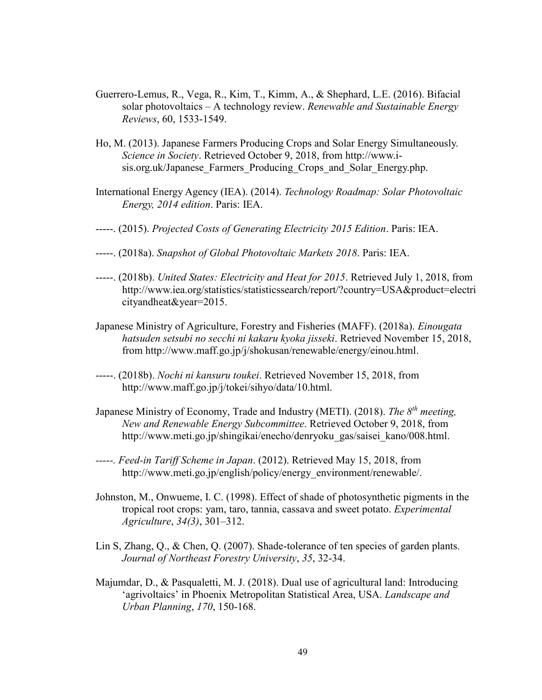- Guerrero-Lemus, R., Vega, R., Kim, T., Kimm, A., & Shephard, L.E. (2016). Bifacial solar photovoltaics – A technology review. *Renewable and Sustainable Energy Reviews*, 60, 1533-1549.
- Ho, M. (2013). Japanese Farmers Producing Crops and Solar Energy Simultaneously. *Science in Society*. Retrieved October 9, 2018, from http://www.isis.org.uk/Japanese Farmers Producing Crops and Solar Energy.php.
- International Energy Agency (IEA). (2014). *Technology Roadmap: Solar Photovoltaic Energy, 2014 edition*. Paris: IEA.
- -----. (2015). *Projected Costs of Generating Electricity 2015 Edition*. Paris: IEA.
- -----. (2018a). *Snapshot of Global Photovoltaic Markets 2018*. Paris: IEA.
- -----. (2018b). *United States: Electricity and Heat for 2015*. Retrieved July 1, 2018, from http://www.iea.org/statistics/statisticssearch/report/?country=USA&product=electri cityandheat&year=2015.
- Japanese Ministry of Agriculture, Forestry and Fisheries (MAFF). (2018a). *Einougata hatsuden setsubi no secchi ni kakaru kyoka jisseki*. Retrieved November 15, 2018, from http://www.maff.go.jp/j/shokusan/renewable/energy/einou.html.
- -----. (2018b). *Nochi ni kansuru toukei*. Retrieved November 15, 2018, from http://www.maff.go.jp/j/tokei/sihyo/data/10.html.
- Japanese Ministry of Economy, Trade and Industry (METI). (2018). *The 8th meeting, New and Renewable Energy Subcommittee*. Retrieved October 9, 2018, from http://www.meti.go.jp/shingikai/enecho/denryoku\_gas/saisei\_kano/008.html.
- *-----. Feed-in Tariff Scheme in Japan*. (2012). Retrieved May 15, 2018, from http://www.meti.go.jp/english/policy/energy\_environment/renewable/.
- Johnston, M., Onwueme, I. C. (1998). Effect of shade of photosynthetic pigments in the tropical root crops: yam, taro, tannia, cassava and sweet potato. *Experimental Agriculture*, *34(3)*, 301–312.
- Lin S, Zhang, Q., & Chen, Q. (2007). Shade-tolerance of ten species of garden plants. *Journal of Northeast Forestry University*, *35*, 32-34.
- Majumdar, D., & Pasqualetti, M. J. (2018). Dual use of agricultural land: Introducing 'agrivoltaics' in Phoenix Metropolitan Statistical Area, USA. *Landscape and Urban Planning*, *170*, 150-168.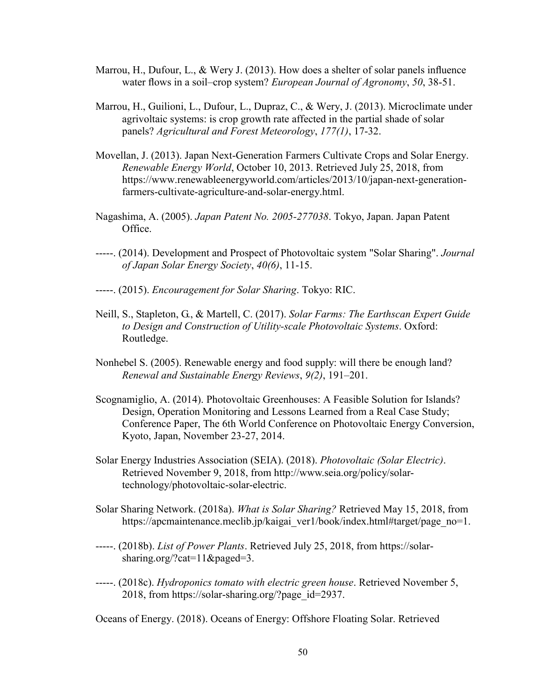- Marrou, H., Dufour, L., & Wery J. (2013). How does a shelter of solar panels influence water flows in a soil–crop system? *European Journal of Agronomy*, *50*, 38-51.
- Marrou, H., Guilioni, L., Dufour, L., Dupraz, C., & Wery, J. (2013). Microclimate under agrivoltaic systems: is crop growth rate affected in the partial shade of solar panels? *Agricultural and Forest Meteorology*, *177(1)*, 17-32.
- Movellan, J. (2013). Japan Next-Generation Farmers Cultivate Crops and Solar Energy. *Renewable Energy World*, October 10, 2013. Retrieved July 25, 2018, from https://www.renewableenergyworld.com/articles/2013/10/japan-next-generationfarmers-cultivate-agriculture-and-solar-energy.html.
- Nagashima, A. (2005). *Japan Patent No. 2005-277038*. Tokyo, Japan. Japan Patent Office.
- -----. (2014). Development and Prospect of Photovoltaic system "Solar Sharing". *Journal of Japan Solar Energy Society*, *40(6)*, 11-15.
- -----. (2015). *Encouragement for Solar Sharing*. Tokyo: RIC.
- Neill, S., Stapleton, G., & Martell, C. (2017). *Solar Farms: The Earthscan Expert Guide to Design and Construction of Utility-scale Photovoltaic Systems*. Oxford: Routledge.
- Nonhebel S. (2005). Renewable energy and food supply: will there be enough land? *Renewal and Sustainable Energy Reviews*, *9(2)*, 191–201.
- Scognamiglio, A. (2014). Photovoltaic Greenhouses: A Feasible Solution for Islands? Design, Operation Monitoring and Lessons Learned from a Real Case Study; Conference Paper, The 6th World Conference on Photovoltaic Energy Conversion, Kyoto, Japan, November 23-27, 2014.
- Solar Energy Industries Association (SEIA). (2018). *Photovoltaic (Solar Electric)*. Retrieved November 9, 2018, from http://www.seia.org/policy/solartechnology/photovoltaic-solar-electric.
- Solar Sharing Network. (2018a). *What is Solar Sharing?* Retrieved May 15, 2018, from https://apcmaintenance.meclib.jp/kaigai\_ver1/book/index.html#target/page\_no=1.
- -----. (2018b). *List of Power Plants*. Retrieved July 25, 2018, from https://solarsharing.org/?cat=11&paged=3.
- -----. (2018c). *Hydroponics tomato with electric green house*. Retrieved November 5, 2018, from https://solar-sharing.org/?page\_id=2937.

Oceans of Energy. (2018). Oceans of Energy: Offshore Floating Solar. Retrieved